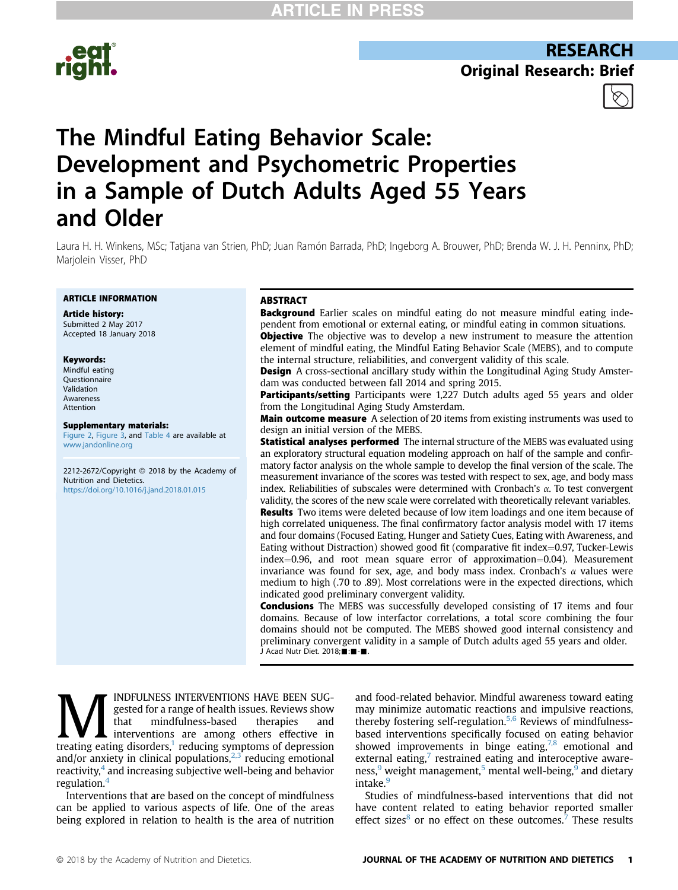

**RESEARCH Original Research: Brief** 



## The Mindful Eating Behavior Scale: Development and Psychometric Properties in a Sample of Dutch Adults Aged 55 Years and Older

Laura H. H. Winkens, MSc; Tatjana van Strien, PhD; Juan Ramón Barrada, PhD; Ingeborg A. Brouwer, PhD; Brenda W. J. H. Penninx, PhD; Marjolein Visser, PhD

#### ARTICLE INFORMATION

Article history: Submitted 2 May 2017 Accepted 18 January 2018

#### Keywords:

Mindful eating **Ouestionnaire** Validation Awareness **Attention** 

#### Supplementary materials:

[Figure 2](#page-14-0), [Figure 3,](#page-15-0) and [Table 4](#page-16-0) are available at [www.jandonline.org](http://www.jandonline.org)

2212-2672/Copyright @ 2018 by the Academy of Nutrition and Dietetics. <https://doi.org/10.1016/j.jand.2018.01.015>

#### ABSTRACT

**Background** Earlier scales on mindful eating do not measure mindful eating independent from emotional or external eating, or mindful eating in common situations. **Objective** The objective was to develop a new instrument to measure the attention

element of mindful eating, the Mindful Eating Behavior Scale (MEBS), and to compute the internal structure, reliabilities, and convergent validity of this scale.

**Design** A cross-sectional ancillary study within the Longitudinal Aging Study Amsterdam was conducted between fall 2014 and spring 2015.

Participants/setting Participants were 1,227 Dutch adults aged 55 years and older from the Longitudinal Aging Study Amsterdam.

Main outcome measure A selection of 20 items from existing instruments was used to design an initial version of the MEBS.

**Statistical analyses performed** The internal structure of the MEBS was evaluated using an exploratory structural equation modeling approach on half of the sample and confirmatory factor analysis on the whole sample to develop the final version of the scale. The measurement invariance of the scores was tested with respect to sex, age, and body mass index. Reliabilities of subscales were determined with Cronbach's  $\alpha$ . To test convergent validity, the scores of the new scale were correlated with theoretically relevant variables.

**Results** Two items were deleted because of low item loadings and one item because of high correlated uniqueness. The final confirmatory factor analysis model with 17 items and four domains (Focused Eating, Hunger and Satiety Cues, Eating with Awareness, and Eating without Distraction) showed good fit (comparative fit index= $0.97$ , Tucker-Lewis  $index = 0.96$ , and root mean square error of approximation= $0.04$ ). Measurement invariance was found for sex, age, and body mass index. Cronbach's  $\alpha$  values were medium to high (.70 to .89). Most correlations were in the expected directions, which indicated good preliminary convergent validity.

**Conclusions** The MEBS was successfully developed consisting of 17 items and four domains. Because of low interfactor correlations, a total score combining the four domains should not be computed. The MEBS showed good internal consistency and preliminary convergent validity in a sample of Dutch adults aged 55 years and older. J Acad Nutr Diet. 2018; : -

**MINDFULNESS INTERVENTIONS HAVE BEEN SUG-**<br>gested for a range of health issues. Reviews show<br>that mindfulness-based therapies and<br>interventions are among others effective in<br>treating eating disorders,<sup>1</sup> reducing symptoms gested for a range of health issues. Reviews show that mindfulness-based therapies and interventions are among others effective in and/or anxiety in clinical populations, $2,3$  reducing emotional reactivity,<sup>[4](#page-11-0)</sup> and increasing subjective well-being and behavior regulation.[4](#page-11-0)

Interventions that are based on the concept of mindfulness can be applied to various aspects of life. One of the areas being explored in relation to health is the area of nutrition and food-related behavior. Mindful awareness toward eating may minimize automatic reactions and impulsive reactions, thereby fostering self-regulation.<sup>[5,6](#page-11-0)</sup> Reviews of mindfulnessbased interventions specifically focused on eating behavior showed improvements in binge eating, $7,8$  emotional and external eating, $<sup>7</sup>$  $<sup>7</sup>$  $<sup>7</sup>$  restrained eating and interoceptive aware-</sup> ness, $9$  weight management,<sup>[5](#page-11-0)</sup> mental well-being, $9$  and dietary intake.<sup>[9](#page-11-0)</sup>

Studies of mindfulness-based interventions that did not have content related to eating behavior reported smaller effect sizes<sup>[8](#page-11-0)</sup> or no effect on these outcomes.<sup>[7](#page-11-0)</sup> These results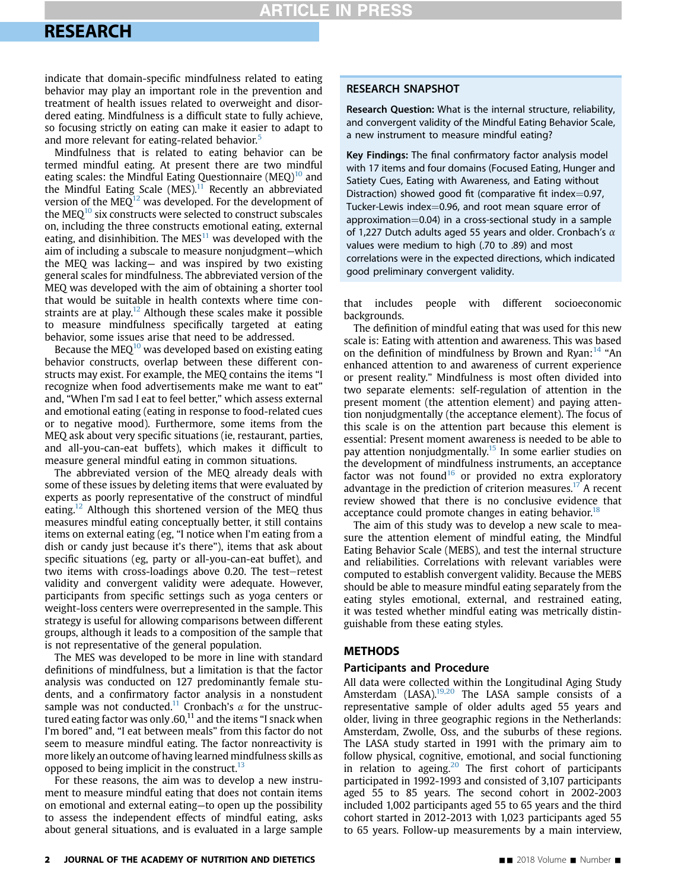## **RESEARCH** <u>research</u>

indicate that domain-specific mindfulness related to eating behavior may play an important role in the prevention and treatment of health issues related to overweight and disordered eating. Mindfulness is a difficult state to fully achieve, so focusing strictly on eating can make it easier to adapt to and more relevant for eating-related behavior.<sup>[5](#page-11-0)</sup>

Mindfulness that is related to eating behavior can be termed mindful eating. At present there are two mindful eating scales: the Mindful Eating Questionnaire  $(MEQ)^{10}$  $(MEQ)^{10}$  $(MEQ)^{10}$  and the Mindful Eating Scale (MES). $<sup>11</sup>$  Recently an abbreviated</sup> version of the  $MEQ^{12}$  was developed. For the development of the  $MEQ<sup>10</sup>$  six constructs were selected to construct subscales on, including the three constructs emotional eating, external eating, and disinhibition. The  $MES<sup>11</sup>$  was developed with the aim of including a subscale to measure nonjudgment—which the MEQ was lacking— and was inspired by two existing general scales for mindfulness. The abbreviated version of the MEQ was developed with the aim of obtaining a shorter tool that would be suitable in health contexts where time con-straints are at play.<sup>[12](#page-12-0)</sup> Although these scales make it possible to measure mindfulness specifically targeted at eating behavior, some issues arise that need to be addressed.

Because the  $MEQ<sup>10</sup>$  $MEQ<sup>10</sup>$  $MEQ<sup>10</sup>$  was developed based on existing eating behavior constructs, overlap between these different constructs may exist. For example, the MEQ contains the items "I recognize when food advertisements make me want to eat" and, "When I'm sad I eat to feel better," which assess external and emotional eating (eating in response to food-related cues or to negative mood). Furthermore, some items from the MEQ ask about very specific situations (ie, restaurant, parties, and all-you-can-eat buffets), which makes it difficult to measure general mindful eating in common situations.

The abbreviated version of the MEQ already deals with some of these issues by deleting items that were evaluated by experts as poorly representative of the construct of mindful eating.<sup>[12](#page-12-0)</sup> Although this shortened version of the MEQ thus measures mindful eating conceptually better, it still contains items on external eating (eg, "I notice when I'm eating from a dish or candy just because it's there"), items that ask about specific situations (eg, party or all-you-can-eat buffet), and two items with cross-loadings above 0.20. The test-retest validity and convergent validity were adequate. However, participants from specific settings such as yoga centers or weight-loss centers were overrepresented in the sample. This strategy is useful for allowing comparisons between different groups, although it leads to a composition of the sample that is not representative of the general population.

The MES was developed to be more in line with standard definitions of mindfulness, but a limitation is that the factor analysis was conducted on 127 predominantly female students, and a confirmatory factor analysis in a nonstudent sample was not conducted.<sup>[11](#page-12-0)</sup> Cronbach's  $\alpha$  for the unstructured eating factor was only .60, $^{11}$  and the items "I snack when I'm bored" and, "I eat between meals" from this factor do not seem to measure mindful eating. The factor nonreactivity is more likely an outcome of having learned mindfulness skills as opposed to being implicit in the construct.<sup>[13](#page-12-0)</sup>

For these reasons, the aim was to develop a new instrument to measure mindful eating that does not contain items on emotional and external eating—to open up the possibility to assess the independent effects of mindful eating, asks about general situations, and is evaluated in a large sample

#### RESEARCH SNAPSHOT

Research Question: What is the internal structure, reliability, and convergent validity of the Mindful Eating Behavior Scale, a new instrument to measure mindful eating?

Key Findings: The final confirmatory factor analysis model with 17 items and four domains (Focused Eating, Hunger and Satiety Cues, Eating with Awareness, and Eating without Distraction) showed good fit (comparative fit index=0.97, Tucker-Lewis index $=0.96$ , and root mean square error of approximation=0.04) in a cross-sectional study in a sample of 1,227 Dutch adults aged 55 years and older. Cronbach's  $\alpha$ values were medium to high (.70 to .89) and most correlations were in the expected directions, which indicated good preliminary convergent validity.

that includes people with different socioeconomic backgrounds.

The definition of mindful eating that was used for this new scale is: Eating with attention and awareness. This was based on the definition of mindfulness by Brown and Ryan:<sup>[14](#page-12-0)</sup> "An enhanced attention to and awareness of current experience or present reality." Mindfulness is most often divided into two separate elements: self-regulation of attention in the present moment (the attention element) and paying attention nonjudgmentally (the acceptance element). The focus of this scale is on the attention part because this element is essential: Present moment awareness is needed to be able to pay attention nonjudgmentally.<sup>15</sup> In some earlier studies on the development of mindfulness instruments, an acceptance factor was not found<sup>[16](#page-12-0)</sup> or provided no extra exploratory advantage in the prediction of criterion measures.<sup>[17](#page-12-0)</sup> A recent review showed that there is no conclusive evidence that acceptance could promote changes in eating behavior.<sup>[18](#page-12-0)</sup>

The aim of this study was to develop a new scale to measure the attention element of mindful eating, the Mindful Eating Behavior Scale (MEBS), and test the internal structure and reliabilities. Correlations with relevant variables were computed to establish convergent validity. Because the MEBS should be able to measure mindful eating separately from the eating styles emotional, external, and restrained eating, it was tested whether mindful eating was metrically distinguishable from these eating styles.

#### **METHODS**

## menteds<br>Participants and Procedure

All data were collected within the Longitudinal Aging Study Amsterdam  $(LASA).^{19,20}$  The LASA sample consists of a representative sample of older adults aged 55 years and older, living in three geographic regions in the Netherlands: Amsterdam, Zwolle, Oss, and the suburbs of these regions. The LASA study started in 1991 with the primary aim to follow physical, cognitive, emotional, and social functioning in relation to ageing. $20$  The first cohort of participants participated in 1992-1993 and consisted of 3,107 participants aged 55 to 85 years. The second cohort in 2002-2003 included 1,002 participants aged 55 to 65 years and the third cohort started in 2012-2013 with 1,023 participants aged 55 to 65 years. Follow-up measurements by a main interview,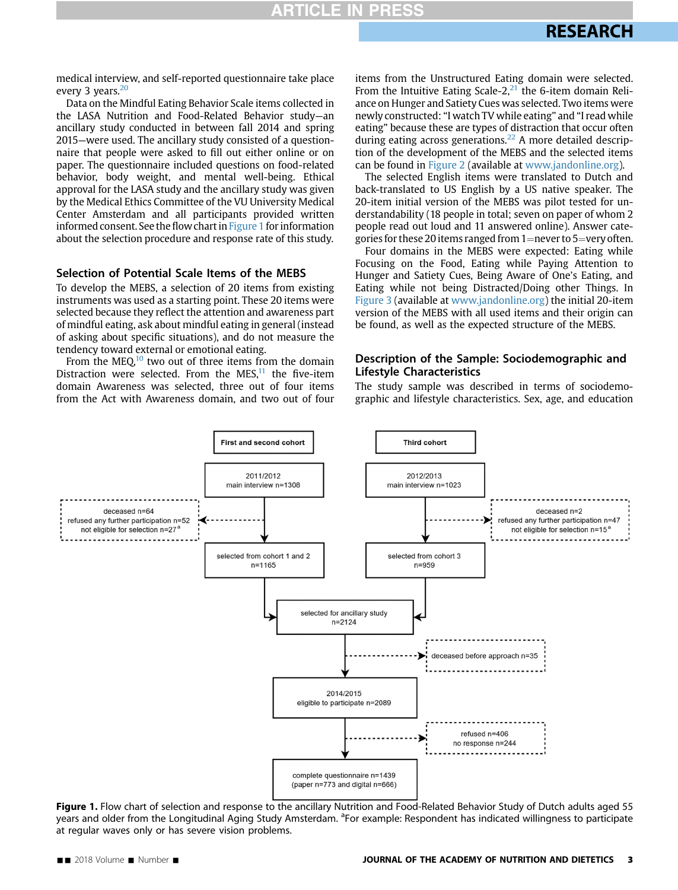<span id="page-2-0"></span>medical interview, and self-reported questionnaire take place every 3 years.<sup>[20](#page-12-0)</sup>

Data on the Mindful Eating Behavior Scale items collected in the LASA Nutrition and Food-Related Behavior study—an ancillary study conducted in between fall 2014 and spring 2015—were used. The ancillary study consisted of a questionnaire that people were asked to fill out either online or on paper. The questionnaire included questions on food-related behavior, body weight, and mental well-being. Ethical approval for the LASA study and the ancillary study was given by the Medical Ethics Committee of the VU University Medical Center Amsterdam and all participants provided written informed consent. See the flow chart in Figure 1 for information about the selection procedure and response rate of this study.

#### Selection of Potential Scale Items of the MEBS

To develop the MEBS, a selection of 20 items from existing instruments was used as a starting point. These 20 items were selected because they reflect the attention and awareness part of mindful eating, ask about mindful eating in general (instead of asking about specific situations), and do not measure the tendency toward external or emotional eating.

From the MEQ $^{10}$  two out of three items from the domain Distraction were selected. From the MES, $11$  the five-item domain Awareness was selected, three out of four items from the Act with Awareness domain, and two out of four

items from the Unstructured Eating domain were selected. From the Intuitive Eating Scale-2, $^{21}$  $^{21}$  $^{21}$  the 6-item domain Reliance on Hunger and Satiety Cues was selected. Two items were newly constructed: "I watch TV while eating" and "I read while eating" because these are types of distraction that occur often during eating across generations.<sup>[22](#page-12-0)</sup> A more detailed description of the development of the MEBS and the selected items can be found in [Figure 2](#page-14-0) (available at [www.jandonline.org\)](http://www.jandonline.org).

The selected English items were translated to Dutch and back-translated to US English by a US native speaker. The 20-item initial version of the MEBS was pilot tested for understandability (18 people in total; seven on paper of whom 2 people read out loud and 11 answered online). Answer categories for these 20 items ranged from  $1$ =never to 5=very often.

Four domains in the MEBS were expected: Eating while Focusing on the Food, Eating while Paying Attention to Hunger and Satiety Cues, Being Aware of One's Eating, and Eating while not being Distracted/Doing other Things. In [Figure 3](#page-15-0) (available at [www.jandonline.org\)](http://www.jandonline.org) the initial 20-item version of the MEBS with all used items and their origin can be found, as well as the expected structure of the MEBS.

### Description of the Sample: Sociodemographic and Lifestyle Characteristics

The study sample was described in terms of sociodemographic and lifestyle characteristics. Sex, age, and education



Figure 1. Flow chart of selection and response to the ancillary Nutrition and Food-Related Behavior Study of Dutch adults aged 55 years and older from the Longitudinal Aging Study Amsterdam. <sup>a</sup>For example: Respondent has indicated willingness to participate at regular waves only or has severe vision problems.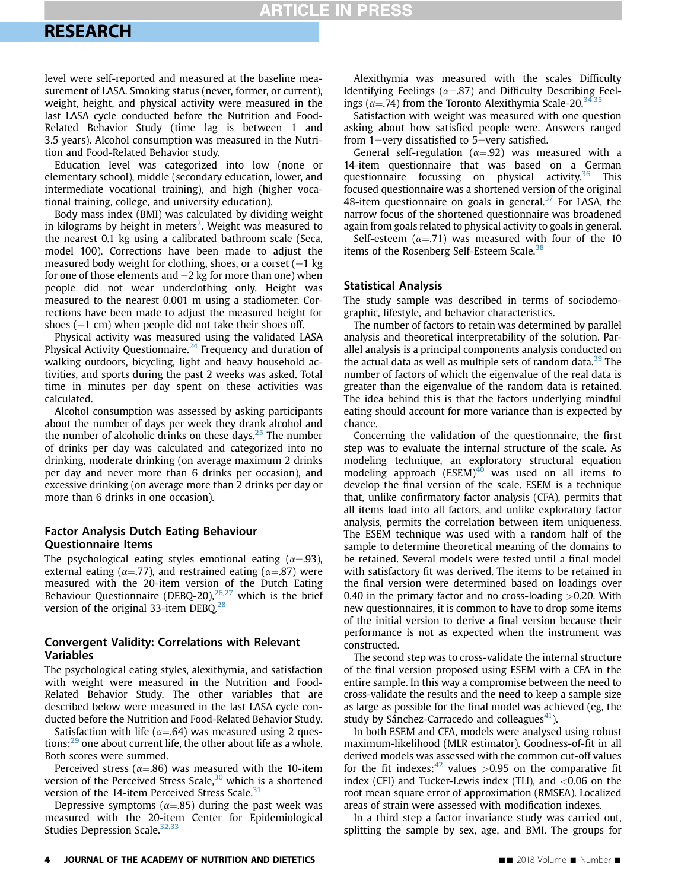## **RESEARCH** <u>research</u>

level were self-reported and measured at the baseline measurement of LASA. Smoking status (never, former, or current), weight, height, and physical activity were measured in the last LASA cycle conducted before the Nutrition and Food-Related Behavior Study (time lag is between 1 and 3.5 years). Alcohol consumption was measured in the Nutrition and Food-Related Behavior study.

Education level was categorized into low (none or elementary school), middle (secondary education, lower, and intermediate vocational training), and high (higher vocational training, college, and university education).

Body mass index (BMI) was calculated by dividing weight in kilograms by height in meters<sup>2</sup>. Weight was measured to the nearest 0.1 kg using a calibrated bathroom scale (Seca, model 100). Corrections have been made to adjust the measured body weight for clothing, shoes, or a corset  $(-1 \text{ kg})$ for one of those elements and  $-2$  kg for more than one) when people did not wear underclothing only. Height was measured to the nearest 0.001 m using a stadiometer. Corrections have been made to adjust the measured height for shoes  $(-1 \text{ cm})$  when people did not take their shoes off.

Physical activity was measured using the validated LASA Physical Activity Questionnaire.<sup>[24](#page-12-0)</sup> Frequency and duration of walking outdoors, bicycling, light and heavy household activities, and sports during the past 2 weeks was asked. Total time in minutes per day spent on these activities was calculated.

Alcohol consumption was assessed by asking participants about the number of days per week they drank alcohol and the number of alcoholic drinks on these days. <sup>[25](#page-12-0)</sup> The number of drinks per day was calculated and categorized into no drinking, moderate drinking (on average maximum 2 drinks per day and never more than 6 drinks per occasion), and excessive drinking (on average more than 2 drinks per day or more than 6 drinks in one occasion).

#### Factor Analysis Dutch Eating Behaviour Questionnaire Items

The psychological eating styles emotional eating ( $\alpha = .93$ ), external eating ( $\alpha = 77$ ), and restrained eating ( $\alpha = 87$ ) were measured with the 20-item version of the Dutch Eating Behaviour Questionnaire (DEBQ-20), $^{26,27}$  $^{26,27}$  $^{26,27}$  which is the brief version of the original 33-item DEBQ.<sup>[28](#page-12-0)</sup>

#### Convergent Validity: Correlations with Relevant Variables

The psychological eating styles, alexithymia, and satisfaction with weight were measured in the Nutrition and Food-Related Behavior Study. The other variables that are described below were measured in the last LASA cycle conducted before the Nutrition and Food-Related Behavior Study.

Satisfaction with life ( $\alpha = .64$ ) was measured using 2 ques-tions:<sup>[29](#page-12-0)</sup> one about current life, the other about life as a whole. Both scores were summed.

Perceived stress ( $\alpha = 0.86$ ) was measured with the 10-item version of the Perceived Stress Scale, $30$  which is a shortened version of the 14-item Perceived Stress Scale.<sup>[31](#page-12-0)</sup>

Depressive symptoms ( $\alpha = 0.85$ ) during the past week was measured with the 20-item Center for Epidemiological Studies Depression Scale.<sup>[32,33](#page-12-0)</sup>

Alexithymia was measured with the scales Difficulty Identifying Feelings ( $\alpha = 0.87$ ) and Difficulty Describing Feelings ( $\alpha$ =.74) from the Toronto Alexithymia Scale-20.<sup>[34,35](#page-12-0)</sup>

Satisfaction with weight was measured with one question asking about how satisfied people were. Answers ranged from 1=very dissatisfied to 5=very satisfied.

General self-regulation ( $\alpha = 0.92$ ) was measured with a 14-item questionnaire that was based on a German questionnaire focussing on physical activity.<sup>36</sup> This focused questionnaire was a shortened version of the original 48-item questionnaire on goals in general. $37$  For LASA, the narrow focus of the shortened questionnaire was broadened again from goals related to physical activity to goals in general.

Self-esteem ( $\alpha$ =.71) was measured with four of the 10 items of the Rosenberg Self-Esteem Scale.<sup>[38](#page-12-0)</sup>

#### Statistical Analysis

The study sample was described in terms of sociodemographic, lifestyle, and behavior characteristics.

The number of factors to retain was determined by parallel analysis and theoretical interpretability of the solution. Parallel analysis is a principal components analysis conducted on the actual data as well as multiple sets of random data.<sup>[39](#page-12-0)</sup> The number of factors of which the eigenvalue of the real data is greater than the eigenvalue of the random data is retained. The idea behind this is that the factors underlying mindful eating should account for more variance than is expected by chance.

Concerning the validation of the questionnaire, the first step was to evaluate the internal structure of the scale. As modeling technique, an exploratory structural equation modeling approach (ESEM) $40$  was used on all items to develop the final version of the scale. ESEM is a technique that, unlike confirmatory factor analysis (CFA), permits that all items load into all factors, and unlike exploratory factor analysis, permits the correlation between item uniqueness. The ESEM technique was used with a random half of the sample to determine theoretical meaning of the domains to be retained. Several models were tested until a final model with satisfactory fit was derived. The items to be retained in the final version were determined based on loadings over 0.40 in the primary factor and no cross-loading  $>0.20$ . With new questionnaires, it is common to have to drop some items of the initial version to derive a final version because their performance is not as expected when the instrument was constructed.

The second step was to cross-validate the internal structure of the final version proposed using ESEM with a CFA in the entire sample. In this way a compromise between the need to cross-validate the results and the need to keep a sample size as large as possible for the final model was achieved (eg, the study by Sánchez-Carracedo and colleagues $41$ ).

In both ESEM and CFA, models were analysed using robust maximum-likelihood (MLR estimator). Goodness-of-fit in all derived models was assessed with the common cut-off values for the fit indexes:  $42$  values > 0.95 on the comparative fit index (CFI) and Tucker-Lewis index (TLI), and  $<$ 0.06 on the root mean square error of approximation (RMSEA). Localized areas of strain were assessed with modification indexes.

In a third step a factor invariance study was carried out, splitting the sample by sex, age, and BMI. The groups for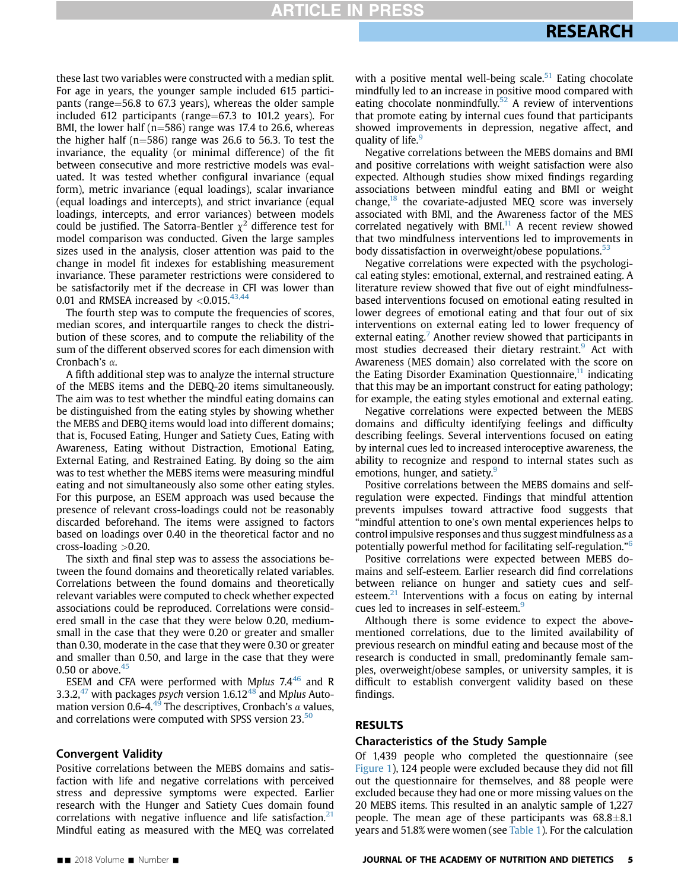these last two variables were constructed with a median split. For age in years, the younger sample included 615 participants (range=56.8 to 67.3 years), whereas the older sample included  $612$  participants (range= $67.3$  to  $101.2$  years). For BMI, the lower half ( $n=586$ ) range was 17.4 to 26.6, whereas the higher half ( $n=586$ ) range was 26.6 to 56.3. To test the invariance, the equality (or minimal difference) of the fit between consecutive and more restrictive models was evaluated. It was tested whether configural invariance (equal form), metric invariance (equal loadings), scalar invariance (equal loadings and intercepts), and strict invariance (equal loadings, intercepts, and error variances) between models could be justified. The Satorra-Bentler  $\chi^2$  difference test for model comparison was conducted. Given the large samples sizes used in the analysis, closer attention was paid to the change in model fit indexes for establishing measurement invariance. These parameter restrictions were considered to be satisfactorily met if the decrease in CFI was lower than 0.01 and RMSEA increased by  $<$ 0.015. $^{43,44}$  $^{43,44}$  $^{43,44}$ 

The fourth step was to compute the frequencies of scores, median scores, and interquartile ranges to check the distribution of these scores, and to compute the reliability of the sum of the different observed scores for each dimension with Cronbach's  $\alpha$ .

A fifth additional step was to analyze the internal structure of the MEBS items and the DEBQ-20 items simultaneously. The aim was to test whether the mindful eating domains can be distinguished from the eating styles by showing whether the MEBS and DEBQ items would load into different domains; that is, Focused Eating, Hunger and Satiety Cues, Eating with Awareness, Eating without Distraction, Emotional Eating, External Eating, and Restrained Eating. By doing so the aim was to test whether the MEBS items were measuring mindful eating and not simultaneously also some other eating styles. For this purpose, an ESEM approach was used because the presence of relevant cross-loadings could not be reasonably discarded beforehand. The items were assigned to factors based on loadings over 0.40 in the theoretical factor and no cross-loading >0.20.

The sixth and final step was to assess the associations between the found domains and theoretically related variables. Correlations between the found domains and theoretically relevant variables were computed to check whether expected associations could be reproduced. Correlations were considered small in the case that they were below 0.20, mediumsmall in the case that they were 0.20 or greater and smaller than 0.30, moderate in the case that they were 0.30 or greater and smaller than 0.50, and large in the case that they were 0.50 or above. $45$ 

ESEM and CFA were performed with Mplus  $7.4^{46}$  $7.4^{46}$  $7.4^{46}$  and R 3.3.2, $^{47}$  $^{47}$  $^{47}$  with packages psych version 1.6.12 $^{48}$  $^{48}$  $^{48}$  and Mplus Auto-mation version 0.6-4.<sup>[49](#page-12-0)</sup> The descriptives, Cronbach's  $\alpha$  values, and correlations were computed with SPSS version 23.<sup>[50](#page-12-0)</sup>

#### Convergent Validity

Positive correlations between the MEBS domains and satisfaction with life and negative correlations with perceived stress and depressive symptoms were expected. Earlier research with the Hunger and Satiety Cues domain found correlations with negative influence and life satisfaction.<sup>[21](#page-12-0)</sup> Mindful eating as measured with the MEQ was correlated

Negative correlations between the MEBS domains and BMI and positive correlations with weight satisfaction were also expected. Although studies show mixed findings regarding associations between mindful eating and BMI or weight change, $18$  the covariate-adjusted MEQ score was inversely associated with BMI, and the Awareness factor of the MES correlated negatively with BMI. $<sup>11</sup>$  $<sup>11</sup>$  $<sup>11</sup>$  A recent review showed</sup> that two mindfulness interventions led to improvements in body dissatisfaction in overweight/obese populations. $53$ 

Negative correlations were expected with the psychological eating styles: emotional, external, and restrained eating. A literature review showed that five out of eight mindfulnessbased interventions focused on emotional eating resulted in lower degrees of emotional eating and that four out of six interventions on external eating led to lower frequency of external eating.<sup>[7](#page-11-0)</sup> Another review showed that participants in most studies decreased their dietary restraint.<sup>[9](#page-11-0)</sup> Act with Awareness (MES domain) also correlated with the score on the Eating Disorder Examination Questionnaire, $11$  indicating that this may be an important construct for eating pathology; for example, the eating styles emotional and external eating.

Negative correlations were expected between the MEBS domains and difficulty identifying feelings and difficulty describing feelings. Several interventions focused on eating by internal cues led to increased interoceptive awareness, the ability to recognize and respond to internal states such as emotions, hunger, and satiety.<sup>9</sup>

Positive correlations between the MEBS domains and selfregulation were expected. Findings that mindful attention prevents impulses toward attractive food suggests that "mindful attention to one's own mental experiences helps to control impulsive responses and thus suggest mindfulness as a potentially powerful method for facilitating self-regulation." [6](#page-11-0)

Positive correlations were expected between MEBS domains and self-esteem. Earlier research did find correlations between reliance on hunger and satiety cues and selfesteem.<sup>21</sup> Interventions with a focus on eating by internal cues led to increases in self-esteem.<sup>[9](#page-11-0)</sup>

Although there is some evidence to expect the abovementioned correlations, due to the limited availability of previous research on mindful eating and because most of the research is conducted in small, predominantly female samples, overweight/obese samples, or university samples, it is difficult to establish convergent validity based on these findings.

## ..........<br>Characteristics of the Study Sample

Of 1,439 people who completed the questionnaire (see [Figure 1](#page-2-0)), 124 people were excluded because they did not fill out the questionnaire for themselves, and 88 people were excluded because they had one or more missing values on the 20 MEBS items. This resulted in an analytic sample of 1,227 people. The mean age of these participants was  $68.8 \pm 8.1$ years and 51.8% were women (see [Table 1](#page-5-0)). For the calculation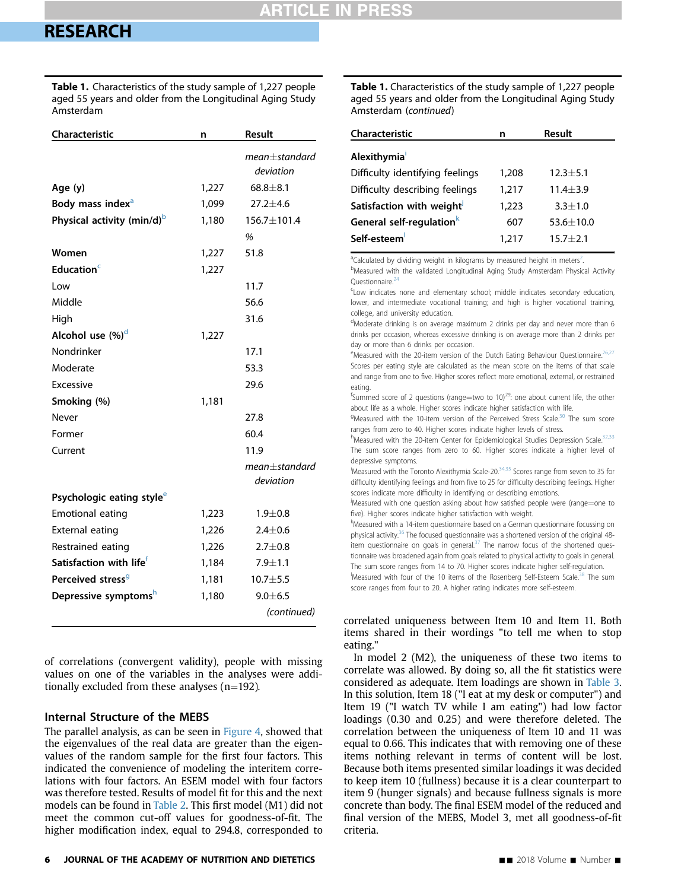# <span id="page-5-0"></span><u>research</u>

Table 1. Characteristics of the study sample of 1,227 people aged 55 years and older from the Longitudinal Aging Study Amsterdam

| Characteristic                         | n     | <b>Result</b>                    |
|----------------------------------------|-------|----------------------------------|
|                                        |       | $mean \pm$ standard<br>deviation |
| Age (y)                                | 1,227 | $68.8 \pm 8.1$                   |
| Body mass index <sup>a</sup>           | 1,099 | $27.2 + 4.6$                     |
| Physical activity (min/d) <sup>b</sup> | 1,180 | $156.7 + 101.4$                  |
|                                        |       | %                                |
| Women                                  | 1,227 | 51.8                             |
| Education <sup>c</sup>                 | 1,227 |                                  |
| Low                                    |       | 11.7                             |
| Middle                                 |       | 56.6                             |
| High                                   |       | 31.6                             |
| Alcohol use (%) <sup>d</sup>           | 1,227 |                                  |
| Nondrinker                             |       | 17.1                             |
| Moderate                               |       | 53.3                             |
| <b>Excessive</b>                       |       | 29.6                             |
| Smoking (%)                            | 1,181 |                                  |
| Never                                  |       | 27.8                             |
| Former                                 |       | 60.4                             |
| Current                                |       | 11.9                             |
|                                        |       | $mean \pm$ standard<br>deviation |
| Psychologic eating style <sup>e</sup>  |       |                                  |
| Emotional eating                       | 1,223 | $1.9 + 0.8$                      |
| External eating                        | 1,226 | $2.4 \pm 0.6$                    |
| Restrained eating                      | 1,226 | $2.7 \pm 0.8$                    |
| Satisfaction with life <sup>t</sup>    | 1,184 | $7.9 + 1.1$                      |
| Perceived stress <sup>9</sup>          | 1,181 | $10.7 + 5.5$                     |
| Depressive symptomsh                   | 1,180 | $9.0 + 6.5$                      |
|                                        |       | (continued)                      |

of correlations (convergent validity), people with missing values on one of the variables in the analyses were additionally excluded from these analyses  $(n=192)$ .

#### Internal Structure of the MEBS

The parallel analysis, as can be seen in [Figure 4](#page-6-0), showed that the eigenvalues of the real data are greater than the eigenvalues of the random sample for the first four factors. This indicated the convenience of modeling the interitem correlations with four factors. An ESEM model with four factors was therefore tested. Results of model fit for this and the next models can be found in [Table 2](#page-7-0). This first model (M1) did not meet the common cut-off values for goodness-of-fit. The higher modification index, equal to 294.8, corresponded to

Table 1. Characteristics of the study sample of 1,227 people aged 55 years and older from the Longitudinal Aging Study Amsterdam (continued)

| <b>Characteristic</b>                 | n     | Result        |
|---------------------------------------|-------|---------------|
| Alexithymia                           |       |               |
| Difficulty identifying feelings       | 1,208 | $12.3 + 5.1$  |
| Difficulty describing feelings        | 1,217 | $11.4 + 3.9$  |
| Satisfaction with weight <sup>j</sup> | 1,223 | $3.3 + 1.0$   |
| General self-regulation <sup>k</sup>  | 607   | $53.6 + 10.0$ |
| Self-esteem                           | 1,217 | $15.7 + 2.1$  |

<sup>a</sup>Calculated by dividing weight in kilograms by measured height in meters<sup>[2](#page-11-0)</sup> .

**bMeasured with the validated Longitudinal Aging Study Amsterdam Physical Activity** Ouestionnaire.<sup>[24](#page-12-0)</sup>

<sup>c</sup>Low indicates none and elementary school; middle indicates secondary education, lower, and intermediate vocational training; and high is higher vocational training, college, and university education.

<sup>d</sup>Moderate drinking is on average maximum 2 drinks per day and never more than 6 drinks per occasion, whereas excessive drinking is on average more than 2 drinks per day or more than 6 drinks per occasion.

eMeasured with the 20-item version of the Dutch Eating Behaviour Questionnaire.<sup>[26,27](#page-12-0)</sup> Scores per eating style are calculated as the mean score on the items of that scale and range from one to five. Higher scores reflect more emotional, external, or restrained eating.

<sup>f</sup>Summed score of 2 questions (range=two to 10)<sup>29</sup>: one about current life, the other about life as a whole. Higher scores indicate higher satisfaction with life.

<sup>9</sup>Measured with the 10-item version of the Perceived Stress Scale.<sup>[30](#page-12-0)</sup> The sum score ranges from zero to 40. Higher scores indicate higher levels of stress.

hMeasured with the 20-item Center for Epidemiological Studies Depression Scale.<sup>[32,33](#page-12-0)</sup> The sum score ranges from zero to 60. Higher scores indicate a higher level of depressive symptoms.

i <sup>i</sup>Measured with the Toronto Alexithymia Scale-20.<sup>[34,35](#page-12-0)</sup> Scores range from seven to 35 for difficulty identifying feelings and from five to 25 for difficulty describing feelings. Higher scores indicate more difficulty in identifying or describing emotions.

j Measured with one question asking about how satisfied people were (range=one to five). Higher scores indicate higher satisfaction with weight.

k<br>Measured with a 14-item questionnaire based on a German questionnaire focussing on physical activity.<sup>[36](#page-12-0)</sup> The focused questionnaire was a shortened version of the original 48item questionnaire on goals in general. $37$  The narrow focus of the shortened questionnaire was broadened again from goals related to physical activity to goals in general. The sum score ranges from 14 to 70. Higher scores indicate higher self-regulation. l

'Measured with four of the 10 items of the Rosenberg Self-Esteem Scale.<sup>[38](#page-12-0)</sup> The sum score ranges from four to 20. A higher rating indicates more self-esteem.

correlated uniqueness between Item 10 and Item 11. Both items shared in their wordings "to tell me when to stop eating."

In model 2 (M2), the uniqueness of these two items to correlate was allowed. By doing so, all the fit statistics were considered as adequate. Item loadings are shown in [Table 3](#page-8-0). In this solution, Item 18 ("I eat at my desk or computer") and Item 19 ("I watch TV while I am eating") had low factor loadings (0.30 and 0.25) and were therefore deleted. The correlation between the uniqueness of Item 10 and 11 was equal to 0.66. This indicates that with removing one of these items nothing relevant in terms of content will be lost. Because both items presented similar loadings it was decided to keep item 10 (fullness) because it is a clear counterpart to item 9 (hunger signals) and because fullness signals is more concrete than body. The final ESEM model of the reduced and final version of the MEBS, Model 3, met all goodness-of-fit criteria.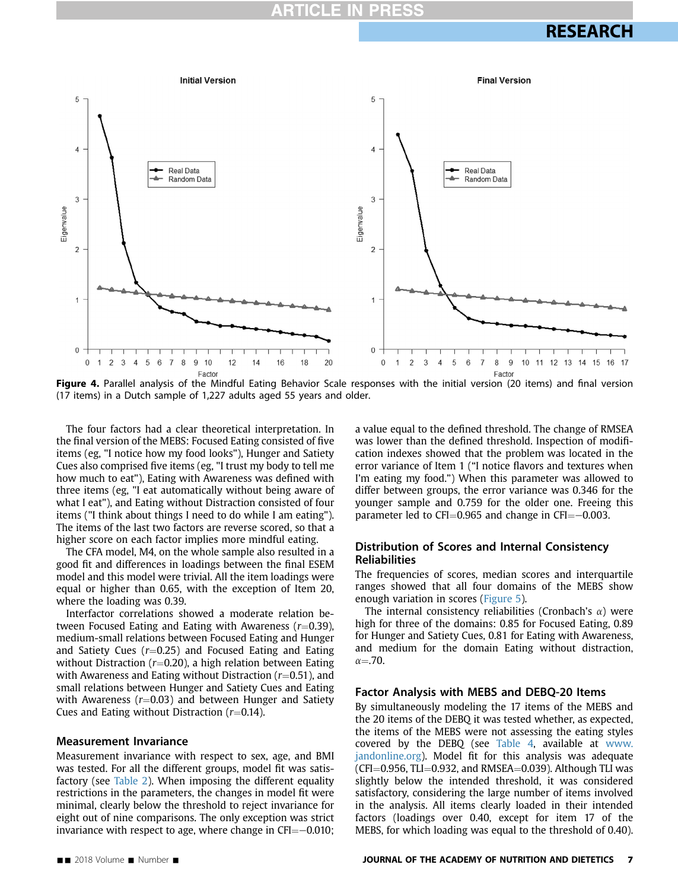## **RESEARCH** <u>research</u>

<span id="page-6-0"></span>

Figure 4. Parallel analysis of the Mindful Eating Behavior Scale responses with the initial version (20 items) and final version (17 items) in a Dutch sample of 1,227 adults aged 55 years and older.

The four factors had a clear theoretical interpretation. In the final version of the MEBS: Focused Eating consisted of five items (eg, "I notice how my food looks"), Hunger and Satiety Cues also comprised five items (eg, "I trust my body to tell me how much to eat"), Eating with Awareness was defined with three items (eg, "I eat automatically without being aware of what I eat"), and Eating without Distraction consisted of four items ("I think about things I need to do while I am eating"). The items of the last two factors are reverse scored, so that a higher score on each factor implies more mindful eating.

The CFA model, M4, on the whole sample also resulted in a good fit and differences in loadings between the final ESEM model and this model were trivial. All the item loadings were equal or higher than 0.65, with the exception of Item 20, where the loading was 0.39.

Interfactor correlations showed a moderate relation between Focused Eating and Eating with Awareness ( $r=0.39$ ), medium-small relations between Focused Eating and Hunger and Satiety Cues  $(r=0.25)$  and Focused Eating and Eating without Distraction ( $r=0.20$ ), a high relation between Eating with Awareness and Eating without Distraction ( $r=0.51$ ), and small relations between Hunger and Satiety Cues and Eating with Awareness ( $r=0.03$ ) and between Hunger and Satiety Cues and Eating without Distraction  $(r=0.14)$ .

#### Measurement Invariance

Measurement invariance with respect to sex, age, and BMI was tested. For all the different groups, model fit was satis-factory (see [Table 2\)](#page-7-0). When imposing the different equality restrictions in the parameters, the changes in model fit were minimal, clearly below the threshold to reject invariance for eight out of nine comparisons. The only exception was strict invariance with respect to age, where change in  $CFI = -0.010$ ;

a value equal to the defined threshold. The change of RMSEA was lower than the defined threshold. Inspection of modification indexes showed that the problem was located in the error variance of Item 1 ("I notice flavors and textures when I'm eating my food.") When this parameter was allowed to differ between groups, the error variance was 0.346 for the younger sample and 0.759 for the older one. Freeing this parameter led to  $CFI = 0.965$  and change in  $CFI = -0.003$ .

#### Distribution of Scores and Internal Consistency Reliabilities

The frequencies of scores, median scores and interquartile ranges showed that all four domains of the MEBS show enough variation in scores [\(Figure 5\)](#page-9-0).

The internal consistency reliabilities (Cronbach's  $\alpha$ ) were high for three of the domains: 0.85 for Focused Eating, 0.89 for Hunger and Satiety Cues, 0.81 for Eating with Awareness, and medium for the domain Eating without distraction,  $\alpha = .70.$ 

#### Factor Analysis with MEBS and DEBQ-20 Items

By simultaneously modeling the 17 items of the MEBS and the 20 items of the DEBQ it was tested whether, as expected, the items of the MEBS were not assessing the eating styles covered by the DEBQ (see [Table 4](#page-16-0), available at [www.](http://www.jandonline.org) [jandonline.org\)](http://www.jandonline.org). Model fit for this analysis was adequate  $(CFI=0.956, TLI=0.932,$  and RMSEA=0.039). Although TLI was slightly below the intended threshold, it was considered satisfactory, considering the large number of items involved in the analysis. All items clearly loaded in their intended factors (loadings over 0.40, except for item 17 of the MEBS, for which loading was equal to the threshold of 0.40).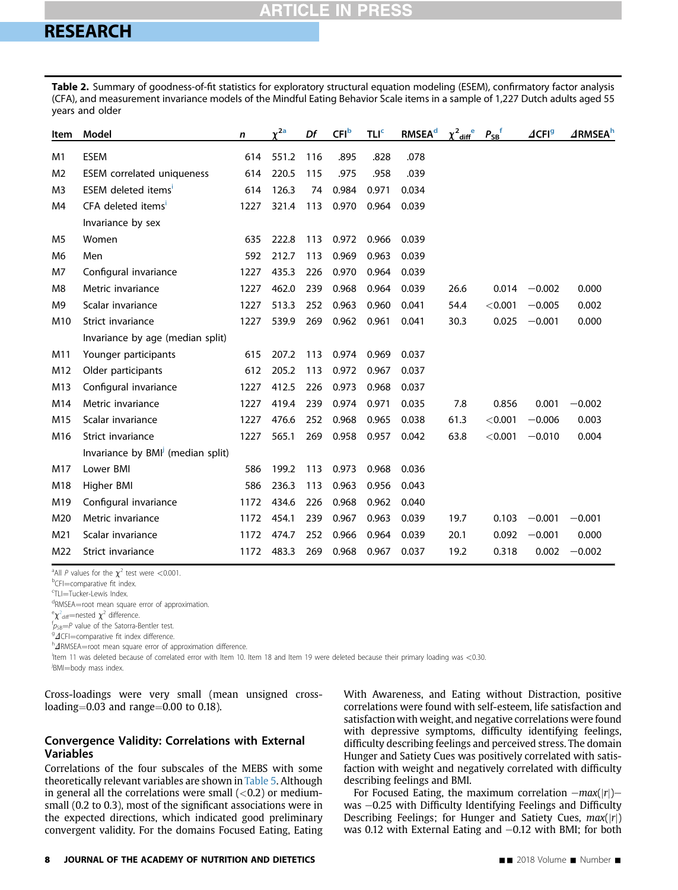# <span id="page-7-0"></span><u>research</u>

Table 2. Summary of goodness-of-fit statistics for exploratory structural equation modeling (ESEM), confirmatory factor analysis (CFA), and measurement invariance models of the Mindful Eating Behavior Scale items in a sample of 1,227 Dutch adults aged 55 years and older

| Item            | Model                                         | n    | $v^{2a}$ | Df  | CH <sup>b</sup> | <b>TLI<sup>c</sup></b> | <b>RMSEA<sup>d</sup></b> | $\chi^2$ diff <sup>e</sup> | $P_{SB}$ <sup>f</sup> | ACFI <sup>g</sup> | $\bm{\varDelta}$ RMSEA $^{\mathsf{h}}$ |
|-----------------|-----------------------------------------------|------|----------|-----|-----------------|------------------------|--------------------------|----------------------------|-----------------------|-------------------|----------------------------------------|
| M1              | <b>ESEM</b>                                   | 614  | 551.2    | 116 | .895            | .828                   | .078                     |                            |                       |                   |                                        |
| M <sub>2</sub>  | <b>ESEM</b> correlated uniqueness             | 614  | 220.5    | 115 | .975            | .958                   | .039                     |                            |                       |                   |                                        |
| M <sub>3</sub>  | ESEM deleted items <sup>i</sup>               | 614  | 126.3    | 74  | 0.984           | 0.971                  | 0.034                    |                            |                       |                   |                                        |
| M4              | CFA deleted items'                            | 1227 | 321.4    | 113 | 0.970           | 0.964                  | 0.039                    |                            |                       |                   |                                        |
|                 | Invariance by sex                             |      |          |     |                 |                        |                          |                            |                       |                   |                                        |
| M <sub>5</sub>  | Women                                         | 635  | 222.8    | 113 | 0.972           | 0.966                  | 0.039                    |                            |                       |                   |                                        |
| M <sub>6</sub>  | Men                                           | 592  | 212.7    | 113 | 0.969           | 0.963                  | 0.039                    |                            |                       |                   |                                        |
| M7              | Configural invariance                         | 1227 | 435.3    | 226 | 0.970           | 0.964                  | 0.039                    |                            |                       |                   |                                        |
| M <sub>8</sub>  | Metric invariance                             | 1227 | 462.0    | 239 | 0.968           | 0.964                  | 0.039                    | 26.6                       | 0.014                 | $-0.002$          | 0.000                                  |
| M9              | Scalar invariance                             | 1227 | 513.3    | 252 | 0.963           | 0.960                  | 0.041                    | 54.4                       | < 0.001               | $-0.005$          | 0.002                                  |
| M10             | Strict invariance                             | 1227 | 539.9    | 269 | 0.962           | 0.961                  | 0.041                    | 30.3                       | 0.025                 | $-0.001$          | 0.000                                  |
|                 | Invariance by age (median split)              |      |          |     |                 |                        |                          |                            |                       |                   |                                        |
| M11             | Younger participants                          | 615  | 207.2    | 113 | 0.974           | 0.969                  | 0.037                    |                            |                       |                   |                                        |
| M12             | Older participants                            | 612  | 205.2    | 113 | 0.972           | 0.967                  | 0.037                    |                            |                       |                   |                                        |
| M13             | Configural invariance                         | 1227 | 412.5    | 226 | 0.973           | 0.968                  | 0.037                    |                            |                       |                   |                                        |
| M14             | Metric invariance                             | 1227 | 419.4    | 239 | 0.974           | 0.971                  | 0.035                    | 7.8                        | 0.856                 | 0.001             | $-0.002$                               |
| M <sub>15</sub> | Scalar invariance                             | 1227 | 476.6    | 252 | 0.968           | 0.965                  | 0.038                    | 61.3                       | < 0.001               | $-0.006$          | 0.003                                  |
| M <sub>16</sub> | Strict invariance                             | 1227 | 565.1    | 269 | 0.958           | 0.957                  | 0.042                    | 63.8                       | < 0.001               | $-0.010$          | 0.004                                  |
|                 | Invariance by BMI <sup>J</sup> (median split) |      |          |     |                 |                        |                          |                            |                       |                   |                                        |
| M17             | Lower BMI                                     | 586  | 199.2    | 113 | 0.973           | 0.968                  | 0.036                    |                            |                       |                   |                                        |
| M18             | Higher BMI                                    | 586  | 236.3    | 113 | 0.963           | 0.956                  | 0.043                    |                            |                       |                   |                                        |
| M19             | Configural invariance                         | 1172 | 434.6    | 226 | 0.968           | 0.962                  | 0.040                    |                            |                       |                   |                                        |
| M20             | Metric invariance                             | 1172 | 454.1    | 239 | 0.967           | 0.963                  | 0.039                    | 19.7                       | 0.103                 | $-0.001$          | $-0.001$                               |
| M21             | Scalar invariance                             | 1172 | 474.7    | 252 | 0.966           | 0.964                  | 0.039                    | 20.1                       | 0.092                 | $-0.001$          | 0.000                                  |
| M22             | Strict invariance                             | 1172 | 483.3    | 269 | 0.968           | 0.967                  | 0.037                    | 19.2                       | 0.318                 | 0.002             | $-0.002$                               |
|                 |                                               |      |          |     |                 |                        |                          |                            |                       |                   |                                        |

<sup>a</sup>All P values for the  $\chi^2$  test were <0.001.

**b**CFI=comparative fit index.<br>FILI-Tusker Lawis Index.

<sup>c</sup>TLI=Tucker-Lewis Index.

<sup>d</sup>RMSEA=root mean square error of approximation.

 $\int_{0}^{\infty} \chi^{2} d\theta d\theta$  $\int_{0}^{\infty} \chi^{2} d\theta d\theta$  $\int_{0}^{\infty} \chi^{2} d\theta d\theta$  difference.

 $p_{\text{SB}}=P$  value of the Satorra-Bentler test.

 $\rm{P}\Delta$ CFI=comparative fit index difference.

 $h\Delta$ RMSEA=root mean square error of approximation difference.

Item 11 was deleted because of correlated error with Item 10. Item 18 and Item 19 were deleted because their primary loading was <0.30.

j <sup>j</sup>BMI=body mass index.

Cross-loadings were very small (mean unsigned crossloading=0.03 and range=0.00 to 0.18).

### Convergence Validity: Correlations with External Variables

Correlations of the four subscales of the MEBS with some theoretically relevant variables are shown in [Table 5.](#page-10-0) Although in general all the correlations were small  $( $0.2$ )$  or mediumsmall (0.2 to 0.3), most of the significant associations were in the expected directions, which indicated good preliminary convergent validity. For the domains Focused Eating, Eating With Awareness, and Eating without Distraction, positive correlations were found with self-esteem, life satisfaction and satisfaction with weight, and negative correlations were found with depressive symptoms, difficulty identifying feelings, difficulty describing feelings and perceived stress. The domain Hunger and Satiety Cues was positively correlated with satisfaction with weight and negatively correlated with difficulty describing feelings and BMI.

For Focused Eating, the maximum correlation  $-max(|r|)$ was  $-0.25$  with Difficulty Identifying Feelings and Difficulty Describing Feelings; for Hunger and Satiety Cues,  $max(|r|)$ was 0.12 with External Eating and  $-0.12$  with BMI; for both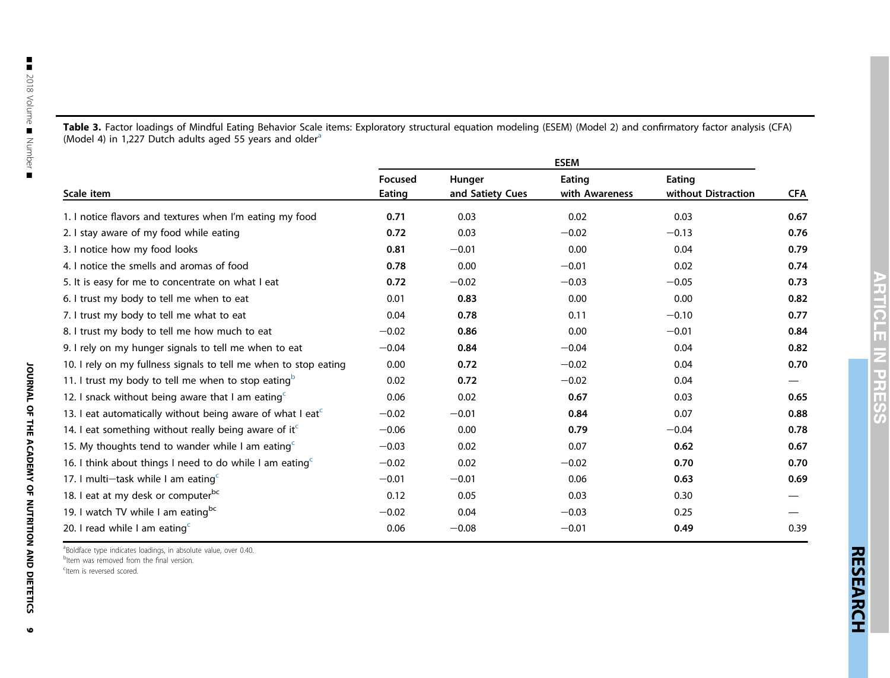| $\breve{ }$<br>Ċ<br>Ξ<br>٦<br>Ò |  |
|---------------------------------|--|
| ĸ                               |  |
|                                 |  |

<span id="page-8-0"></span>--

**Table 3.** Factor loadings of Mindful Eating Behavior Scale items: Exploratory structural equation modeling (ESEM) (Model 2) and confirmatory factor analysis (CFA) (Model 4) in 1,227 Dutch adults aged 55 years and older $^\mathtt{a}$ 

|                                                                   | <b>ESEM</b>                     |                            |                          |                               |            |  |  |
|-------------------------------------------------------------------|---------------------------------|----------------------------|--------------------------|-------------------------------|------------|--|--|
| Scale item                                                        | <b>Focused</b><br><b>Eating</b> | Hunger<br>and Satiety Cues | Eating<br>with Awareness | Eating<br>without Distraction | <b>CFA</b> |  |  |
| 1. I notice flavors and textures when I'm eating my food          | 0.71                            | 0.03                       | 0.02                     | 0.03                          | 0.67       |  |  |
| 2. I stay aware of my food while eating                           | 0.72                            | 0.03                       | $-0.02$                  | $-0.13$                       | 0.76       |  |  |
| 3. I notice how my food looks                                     | 0.81                            | $-0.01$                    | 0.00                     | 0.04                          | 0.79       |  |  |
| 4. I notice the smells and aromas of food                         | 0.78                            | 0.00                       | $-0.01$                  | 0.02                          | 0.74       |  |  |
| 5. It is easy for me to concentrate on what I eat                 | 0.72                            | $-0.02$                    | $-0.03$                  | $-0.05$                       | 0.73       |  |  |
| 6. I trust my body to tell me when to eat                         | 0.01                            | 0.83                       | 0.00                     | 0.00                          | 0.82       |  |  |
| 7. I trust my body to tell me what to eat                         | 0.04                            | 0.78                       | 0.11                     | $-0.10$                       | 0.77       |  |  |
| 8. I trust my body to tell me how much to eat                     | $-0.02$                         | 0.86                       | 0.00                     | $-0.01$                       | 0.84       |  |  |
| 9. I rely on my hunger signals to tell me when to eat             | $-0.04$                         | 0.84                       | $-0.04$                  | 0.04                          | 0.82       |  |  |
| 10. I rely on my fullness signals to tell me when to stop eating  | 0.00                            | 0.72                       | $-0.02$                  | 0.04                          | 0.70       |  |  |
| 11. I trust my body to tell me when to stop eating $^{\circ}$     | 0.02                            | 0.72                       | $-0.02$                  | 0.04                          |            |  |  |
| 12. I snack without being aware that I am eating <sup>c</sup>     | 0.06                            | 0.02                       | 0.67                     | 0.03                          | 0.65       |  |  |
| 13. I eat automatically without being aware of what I eat $c$     | $-0.02$                         | $-0.01$                    | 0.84                     | 0.07                          | 0.88       |  |  |
| 14. I eat something without really being aware of it <sup>c</sup> | $-0.06$                         | 0.00                       | 0.79                     | $-0.04$                       | 0.78       |  |  |
| 15. My thoughts tend to wander while I am eating $c$              | $-0.03$                         | 0.02                       | 0.07                     | 0.62                          | 0.67       |  |  |
| 16. I think about things I need to do while I am eating $c$       | $-0.02$                         | 0.02                       | $-0.02$                  | 0.70                          | 0.70       |  |  |
| 17. I multi-task while I am eating <sup>c</sup>                   | $-0.01$                         | $-0.01$                    | 0.06                     | 0.63                          | 0.69       |  |  |
| 18. I eat at my desk or computerbc                                | 0.12                            | 0.05                       | 0.03                     | 0.30                          |            |  |  |
| 19. I watch TV while I am eatingbc                                | $-0.02$                         | 0.04                       | $-0.03$                  | 0.25                          |            |  |  |
| 20. I read while I am eating <sup>c</sup>                         | 0.06                            | $-0.08$                    | $-0.01$                  | 0.49                          | 0.39       |  |  |

<sup>a</sup>Boldface type indicates loadings, in absolute value, over 0.40.

b<sub>Item was removed from the final version.</sub>

<sup>c</sup>Item is reversed scored.

JOURNAL OF THE ACADEMY OF NUTRITION AND DIETETICS

JOURNAL OF THE ACADEMY OF NUTRITION AND DIETETICS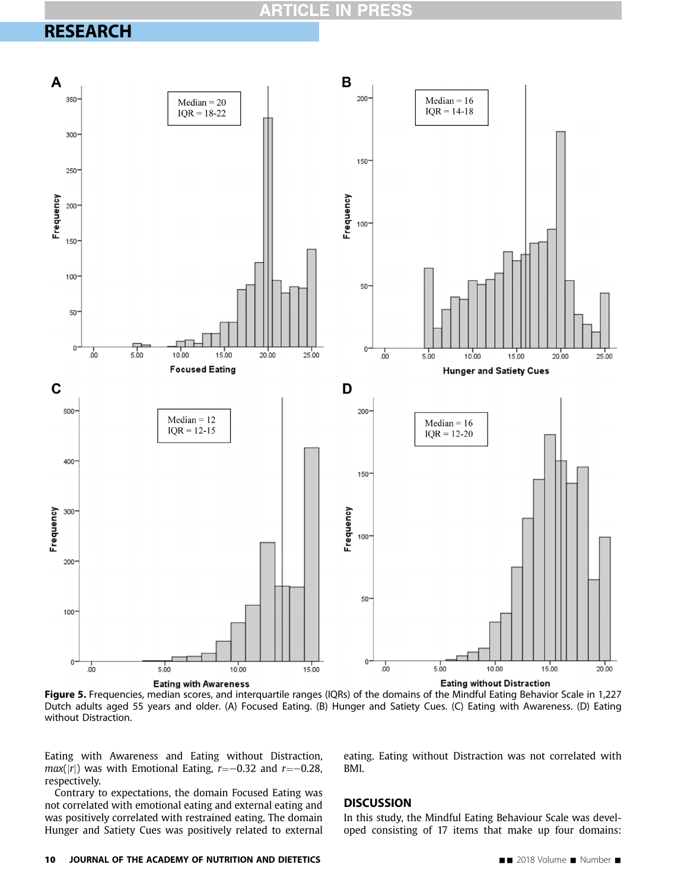# <span id="page-9-0"></span><u>research</u>



Figure 5. Frequencies, median scores, and interquartile ranges (IQRs) of the domains of the Mindful Eating Behavior Scale in 1,227 Dutch adults aged 55 years and older. (A) Focused Eating. (B) Hunger and Satiety Cues. (C) Eating with Awareness. (D) Eating without Distraction.

Eating with Awareness and Eating without Distraction,  $max(|r|)$  was with Emotional Eating,  $r=-0.32$  and  $r=-0.28$ , respectively.

Contrary to expectations, the domain Focused Eating was not correlated with emotional eating and external eating and was positively correlated with restrained eating. The domain Hunger and Satiety Cues was positively related to external eating. Eating without Distraction was not correlated with BMI.

In this study, the Mindful Eating Behaviour Scale was developed consisting of 17 items that make up four domains: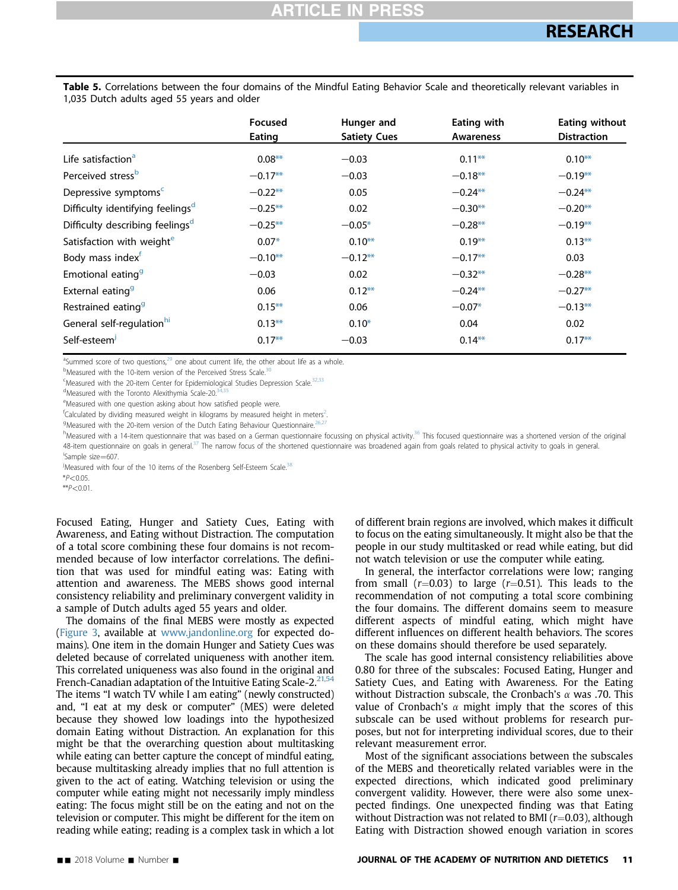|                                              | Focused    | Hunger and          | Eating with | <b>Eating without</b> |
|----------------------------------------------|------------|---------------------|-------------|-----------------------|
|                                              | Eating     | <b>Satiety Cues</b> | Awareness   | <b>Distraction</b>    |
| Life satisfaction <sup>a</sup>               | $0.08***$  | $-0.03$             | $0.11***$   | $0.10***$             |
| Perceived stress <sup>b</sup>                | $-0.17***$ | $-0.03$             | $-0.18***$  | $-0.19**$             |
| Depressive symptoms <sup>c</sup>             | $-0.22$ ** | 0.05                | $-0.24**$   | $-0.24**$             |
| Difficulty identifying feelings <sup>d</sup> | $-0.25***$ | 0.02                | $-0.30**$   | $-0.20**$             |
| Difficulty describing feelings <sup>d</sup>  | $-0.25***$ | $-0.05*$            | $-0.28**$   | $-0.19**$             |
| Satisfaction with weight <sup>e</sup>        | $0.07*$    | $0.10***$           | $0.19***$   | $0.13***$             |
| Body mass index <sup>f</sup>                 | $-0.10***$ | $-0.12***$          | $-0.17***$  | 0.03                  |
| Emotional eating <sup>9</sup>                | $-0.03$    | 0.02                | $-0.32**$   | $-0.28**$             |
| External eating <sup>9</sup>                 | 0.06       | $0.12***$           | $-0.24**$   | $-0.27**$             |
| Restrained eating <sup>9</sup>               | $0.15***$  | 0.06                | $-0.07*$    | $-0.13***$            |
| General self-regulation <sup>hi</sup>        | $0.13***$  | $0.10*$             | 0.04        | 0.02                  |
| Self-esteem                                  | $0.17***$  | $-0.03$             | $0.14***$   | $0.17***$             |

<span id="page-10-0"></span>Table 5. Correlations between the four domains of the Mindful Eating Behavior Scale and theoretically relevant variables in 1,035 Dutch adults aged 55 years and older

<sup>a</sup>Summed score of two questions,<sup>[29](#page-12-0)</sup> one about current life, the other about life as a whole.

<sup>b</sup>Measured with the 10-item version of the Perceived Stress Scale.<sup>[30](#page-12-0)</sup>

<sup>c</sup>Measured with the 20-item Center for Epidemiological Studies Depression Scale.<sup>[32,33](#page-12-0)</sup>

<sup>d</sup>Measured with the Toronto Alexithymia Scale-20.<sup>[34,35](#page-12-0)</sup>

eMeasured with one question asking about how satisfied people were.

 $^{f}$ Calculated by dividing measured weight in kilograms by measured height in meters<sup>[2](#page-11-0)</sup>

<sup>9</sup>Measured with the 20-item version of the Dutch Eating Behaviour Questionnaire.<sup>[26,27](#page-12-0)</sup>

<sup>h</sup>Measured with a 14-item questionnaire that was based on a German questionnaire focussing on physical activity.<sup>36</sup> This focused questionnaire was a shortened version of the original 48-item questionnaire on goals in general.<sup>[37](#page-12-0)</sup> The narrow focus of the shortened questionnaire was broadened again from goals related to physical activity to goals in general. i

.

'Sample size=607.<br><sup>j</sup>Measured with four of the 10 items of the Rosenberg Self-Esteem Scale.<sup>[38](#page-12-0)</sup>

 $*P < 0.05$ .

 $*p$  < 0.01.

Focused Eating, Hunger and Satiety Cues, Eating with Awareness, and Eating without Distraction. The computation of a total score combining these four domains is not recommended because of low interfactor correlations. The definition that was used for mindful eating was: Eating with attention and awareness. The MEBS shows good internal consistency reliability and preliminary convergent validity in a sample of Dutch adults aged 55 years and older.

The domains of the final MEBS were mostly as expected ([Figure 3,](#page-15-0) available at [www.jandonline.org](http://www.jandonline.org) for expected domains). One item in the domain Hunger and Satiety Cues was deleted because of correlated uniqueness with another item. This correlated uniqueness was also found in the original and French-Canadian adaptation of the Intuitive Eating Scale-2.<sup>21,54</sup> The items "I watch TV while I am eating" (newly constructed) and, "I eat at my desk or computer" (MES) were deleted because they showed low loadings into the hypothesized domain Eating without Distraction. An explanation for this might be that the overarching question about multitasking while eating can better capture the concept of mindful eating, because multitasking already implies that no full attention is given to the act of eating. Watching television or using the computer while eating might not necessarily imply mindless eating: The focus might still be on the eating and not on the television or computer. This might be different for the item on reading while eating; reading is a complex task in which a lot of different brain regions are involved, which makes it difficult to focus on the eating simultaneously. It might also be that the people in our study multitasked or read while eating, but did not watch television or use the computer while eating.

In general, the interfactor correlations were low; ranging from small  $(r=0.03)$  to large  $(r=0.51)$ . This leads to the recommendation of not computing a total score combining the four domains. The different domains seem to measure different aspects of mindful eating, which might have different influences on different health behaviors. The scores on these domains should therefore be used separately.

The scale has good internal consistency reliabilities above 0.80 for three of the subscales: Focused Eating, Hunger and Satiety Cues, and Eating with Awareness. For the Eating without Distraction subscale, the Cronbach's  $\alpha$  was .70. This value of Cronbach's  $\alpha$  might imply that the scores of this subscale can be used without problems for research purposes, but not for interpreting individual scores, due to their relevant measurement error.

Most of the significant associations between the subscales of the MEBS and theoretically related variables were in the expected directions, which indicated good preliminary convergent validity. However, there were also some unexpected findings. One unexpected finding was that Eating without Distraction was not related to BMI ( $r=0.03$ ), although Eating with Distraction showed enough variation in scores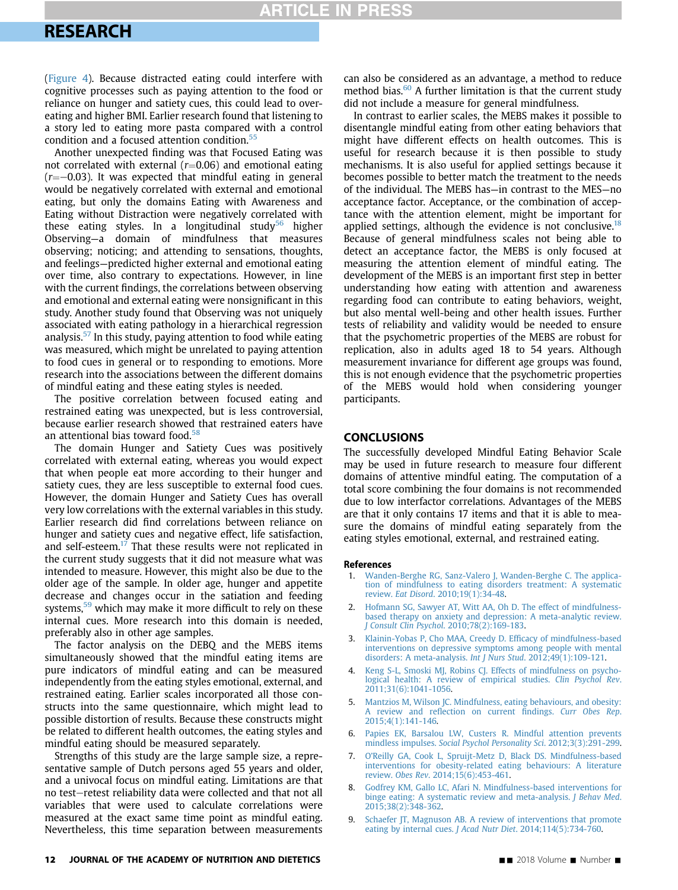## <span id="page-11-0"></span>**RESEARCH** <u>research</u>

[\(Figure 4\)](#page-6-0). Because distracted eating could interfere with cognitive processes such as paying attention to the food or reliance on hunger and satiety cues, this could lead to overeating and higher BMI. Earlier research found that listening to a story led to eating more pasta compared with a control condition and a focused attention condition.<sup>[55](#page-12-0)</sup>

Another unexpected finding was that Focused Eating was not correlated with external  $(r=0.06)$  and emotional eating  $(r=-0.03)$ . It was expected that mindful eating in general would be negatively correlated with external and emotional eating, but only the domains Eating with Awareness and Eating without Distraction were negatively correlated with these eating styles. In a longitudinal study<sup>[56](#page-12-0)</sup> higher Observing—a domain of mindfulness that measures observing; noticing; and attending to sensations, thoughts, and feelings—predicted higher external and emotional eating over time, also contrary to expectations. However, in line with the current findings, the correlations between observing and emotional and external eating were nonsignificant in this study. Another study found that Observing was not uniquely associated with eating pathology in a hierarchical regression analysis.<sup>57</sup> In this study, paying attention to food while eating was measured, which might be unrelated to paying attention to food cues in general or to responding to emotions. More research into the associations between the different domains of mindful eating and these eating styles is needed.

The positive correlation between focused eating and restrained eating was unexpected, but is less controversial, because earlier research showed that restrained eaters have an attentional bias toward food.<sup>[58](#page-12-0)</sup>

The domain Hunger and Satiety Cues was positively correlated with external eating, whereas you would expect that when people eat more according to their hunger and satiety cues, they are less susceptible to external food cues. However, the domain Hunger and Satiety Cues has overall very low correlations with the external variables in this study. Earlier research did find correlations between reliance on hunger and satiety cues and negative effect, life satisfaction, and self-esteem.<sup>17</sup> That these results were not replicated in the current study suggests that it did not measure what was intended to measure. However, this might also be due to the older age of the sample. In older age, hunger and appetite decrease and changes occur in the satiation and feeding systems, $59$  which may make it more difficult to rely on these internal cues. More research into this domain is needed, preferably also in other age samples.

The factor analysis on the DEBQ and the MEBS items simultaneously showed that the mindful eating items are pure indicators of mindful eating and can be measured independently from the eating styles emotional, external, and restrained eating. Earlier scales incorporated all those constructs into the same questionnaire, which might lead to possible distortion of results. Because these constructs might be related to different health outcomes, the eating styles and mindful eating should be measured separately.

Strengths of this study are the large sample size, a representative sample of Dutch persons aged 55 years and older, and a univocal focus on mindful eating. Limitations are that no test-retest reliability data were collected and that not all variables that were used to calculate correlations were measured at the exact same time point as mindful eating. Nevertheless, this time separation between measurements

can also be considered as an advantage, a method to reduce method bias. $60$  A further limitation is that the current study did not include a measure for general mindfulness.

In contrast to earlier scales, the MEBS makes it possible to disentangle mindful eating from other eating behaviors that might have different effects on health outcomes. This is useful for research because it is then possible to study mechanisms. It is also useful for applied settings because it becomes possible to better match the treatment to the needs of the individual. The MEBS has—in contrast to the MES—no acceptance factor. Acceptance, or the combination of acceptance with the attention element, might be important for applied settings, although the evidence is not conclusive.<sup>[18](#page-12-0)</sup> Because of general mindfulness scales not being able to detect an acceptance factor, the MEBS is only focused at measuring the attention element of mindful eating. The development of the MEBS is an important first step in better understanding how eating with attention and awareness regarding food can contribute to eating behaviors, weight, but also mental well-being and other health issues. Further tests of reliability and validity would be needed to ensure that the psychometric properties of the MEBS are robust for replication, also in adults aged 18 to 54 years. Although measurement invariance for different age groups was found, this is not enough evidence that the psychometric properties of the MEBS would hold when considering younger participants.

#### **CONCLUSIONS**

**THE SUPPREST STAR**<br>The successfully developed Mindful Eating Behavior Scale may be used in future research to measure four different domains of attentive mindful eating. The computation of a total score combining the four domains is not recommended due to low interfactor correlations. Advantages of the MEBS are that it only contains 17 items and that it is able to measure the domains of mindful eating separately from the eating styles emotional, external, and restrained eating.

#### **References**

- 1. [Wanden-Berghe RG, Sanz-Valero J, Wanden-Berghe C. The applica](http://refhub.elsevier.com/S2212-2672(18)30145-X/sref1)[tion of mindfulness to eating disorders treatment: A systematic](http://refhub.elsevier.com/S2212-2672(18)30145-X/sref1) review. Eat Disord[. 2010;19\(1\):34-48.](http://refhub.elsevier.com/S2212-2672(18)30145-X/sref1)
- 2. [Hofmann SG, Sawyer AT, Witt AA, Oh D. The effect of mindfulness](http://refhub.elsevier.com/S2212-2672(18)30145-X/sref2)[based therapy on anxiety and depression: A meta-analytic review.](http://refhub.elsevier.com/S2212-2672(18)30145-X/sref2) J Consult Clin Psychol[. 2010;78\(2\):169-183](http://refhub.elsevier.com/S2212-2672(18)30145-X/sref2).
- 3. [Klainin-Yobas P, Cho MAA, Creedy D. Ef](http://refhub.elsevier.com/S2212-2672(18)30145-X/sref3)ficacy of mindfulness-based [interventions on depressive symptoms among people with mental](http://refhub.elsevier.com/S2212-2672(18)30145-X/sref3) [disorders: A meta-analysis.](http://refhub.elsevier.com/S2212-2672(18)30145-X/sref3) Int J Nurs Stud. 2012;49(1):109-121.
- 4. [Keng S-L, Smoski MJ, Robins CJ. Effects of mindfulness on psycho](http://refhub.elsevier.com/S2212-2672(18)30145-X/sref4)[logical health: A review of empirical studies.](http://refhub.elsevier.com/S2212-2672(18)30145-X/sref4) Clin Psychol Rev. [2011;31\(6\):1041-1056.](http://refhub.elsevier.com/S2212-2672(18)30145-X/sref4)
- [Mantzios M, Wilson JC. Mindfulness, eating behaviours, and obesity:](http://refhub.elsevier.com/S2212-2672(18)30145-X/sref5) A review and refl[ection on current](http://refhub.elsevier.com/S2212-2672(18)30145-X/sref5) findings. Curr Obes Rep. [2015;4\(1\):141-146.](http://refhub.elsevier.com/S2212-2672(18)30145-X/sref5)
- 6. [Papies EK, Barsalou LW, Custers R. Mindful attention prevents](http://refhub.elsevier.com/S2212-2672(18)30145-X/sref6) mindless impulses. [Social Psychol Personality Sci](http://refhub.elsevier.com/S2212-2672(18)30145-X/sref6). 2012;3(3):291-299.
- 7. O'[Reilly GA, Cook L, Spruijt-Metz D, Black DS. Mindfulness-based](http://refhub.elsevier.com/S2212-2672(18)30145-X/sref7) [interventions for obesity-related eating behaviours: A literature](http://refhub.elsevier.com/S2212-2672(18)30145-X/sref7) review. Obes Rev[. 2014;15\(6\):453-461.](http://refhub.elsevier.com/S2212-2672(18)30145-X/sref7)
- 8. [Godfrey KM, Gallo LC, Afari N. Mindfulness-based interventions for](http://refhub.elsevier.com/S2212-2672(18)30145-X/sref8) [binge eating: A systematic review and meta-analysis.](http://refhub.elsevier.com/S2212-2672(18)30145-X/sref8) J Behav Med. [2015;38\(2\):348-362.](http://refhub.elsevier.com/S2212-2672(18)30145-X/sref8)
- 9. [Schaefer JT, Magnuson AB. A review of interventions that promote](http://refhub.elsevier.com/S2212-2672(18)30145-X/sref9) [eating by internal cues.](http://refhub.elsevier.com/S2212-2672(18)30145-X/sref9) J Acad Nutr Diet. 2014;114(5):734-760.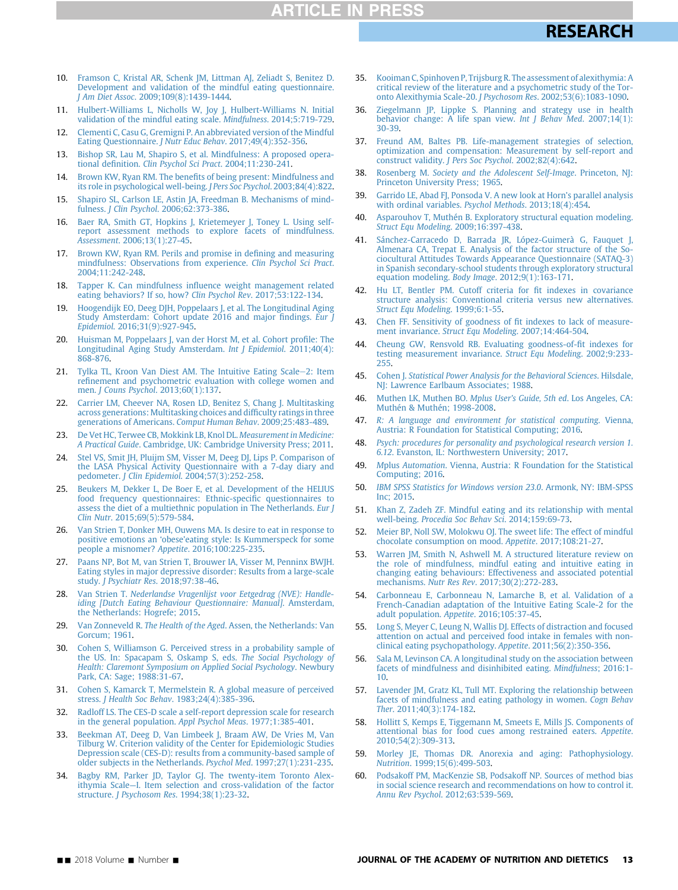- <span id="page-12-0"></span>10. [Framson C, Kristal AR, Schenk JM, Littman AJ, Zeliadt S, Benitez D.](http://refhub.elsevier.com/S2212-2672(18)30145-X/sref10) [Development and validation of the mindful eating questionnaire.](http://refhub.elsevier.com/S2212-2672(18)30145-X/sref10) J Am Diet Assoc[. 2009;109\(8\):1439-1444](http://refhub.elsevier.com/S2212-2672(18)30145-X/sref10).
- 11. [Hulbert-Williams L, Nicholls W, Joy J, Hulbert-Williams N. Initial](http://refhub.elsevier.com/S2212-2672(18)30145-X/sref11) [validation of the mindful eating scale.](http://refhub.elsevier.com/S2212-2672(18)30145-X/sref11) Mindfulness. 2014;5:719-729.
- 12. [Clementi C, Casu G, Gremigni P. An abbreviated version of the Mindful](http://refhub.elsevier.com/S2212-2672(18)30145-X/sref12) [Eating Questionnaire.](http://refhub.elsevier.com/S2212-2672(18)30145-X/sref12) J Nutr Educ Behav. 2017;49(4):352-356.
- 13. [Bishop SR, Lau M, Shapiro S, et al. Mindfulness: A proposed opera-](http://refhub.elsevier.com/S2212-2672(18)30145-X/sref13)tional definition. [Clin Psychol Sci Pract](http://refhub.elsevier.com/S2212-2672(18)30145-X/sref13). 2004;11:230-241.
- 14. Brown KW, Ryan RM. The benefi[ts of being present: Mindfulness and](http://refhub.elsevier.com/S2212-2672(18)30145-X/sref14) [its role in psychological well-being.](http://refhub.elsevier.com/S2212-2672(18)30145-X/sref14) J Pers Soc Psychol. 2003;84(4):822.
- 15. [Shapiro SL, Carlson LE, Astin JA, Freedman B. Mechanisms of mind](http://refhub.elsevier.com/S2212-2672(18)30145-X/sref15)fulness. J Clin Psychol[. 2006;62:373-386](http://refhub.elsevier.com/S2212-2672(18)30145-X/sref15).
- 16. [Baer RA, Smith GT, Hopkins J, Krietemeyer J, Toney L. Using self-](http://refhub.elsevier.com/S2212-2672(18)30145-X/sref16)[report assessment methods to explore facets of mindfulness.](http://refhub.elsevier.com/S2212-2672(18)30145-X/sref16) Assessment[. 2006;13\(1\):27-45](http://refhub.elsevier.com/S2212-2672(18)30145-X/sref16).
- 17. [Brown KW, Ryan RM. Perils and promise in de](http://refhub.elsevier.com/S2212-2672(18)30145-X/sref17)fining and measuring [mindfulness: Observations from experience.](http://refhub.elsevier.com/S2212-2672(18)30145-X/sref17) Clin Psychol Sci Pract. [2004;11:242-248.](http://refhub.elsevier.com/S2212-2672(18)30145-X/sref17)
- 18. Tapper K. Can mindfulness infl[uence weight management related](http://refhub.elsevier.com/S2212-2672(18)30145-X/sref18) [eating behaviors? If so, how?](http://refhub.elsevier.com/S2212-2672(18)30145-X/sref18) Clin Psychol Rev. 2017;53:122-134.
- 19. [Hoogendijk EO, Deeg DJH, Poppelaars J, et al. The Longitudinal Aging](http://refhub.elsevier.com/S2212-2672(18)30145-X/sref19) [Study Amsterdam: Cohort update 2016 and major](http://refhub.elsevier.com/S2212-2672(18)30145-X/sref19) findings. Eur J Epidemiol[. 2016;31\(9\):927-945.](http://refhub.elsevier.com/S2212-2672(18)30145-X/sref19)
- 20. [Huisman M, Poppelaars J, van der Horst M, et al. Cohort pro](http://refhub.elsevier.com/S2212-2672(18)30145-X/sref20)file: The [Longitudinal Aging Study Amsterdam.](http://refhub.elsevier.com/S2212-2672(18)30145-X/sref20) Int J Epidemiol. 2011;40(4): [868-876.](http://refhub.elsevier.com/S2212-2672(18)30145-X/sref20)
- 21. [Tylka TL, Kroon Van Diest AM. The Intuitive Eating Scale](http://refhub.elsevier.com/S2212-2672(18)30145-X/sref21)-[2: Item](http://refhub.elsevier.com/S2212-2672(18)30145-X/sref21) refi[nement and psychometric evaluation with college women and](http://refhub.elsevier.com/S2212-2672(18)30145-X/sref21) men. J Couns Psychol[. 2013;60\(1\):137](http://refhub.elsevier.com/S2212-2672(18)30145-X/sref21).
- 22. [Carrier LM, Cheever NA, Rosen LD, Benitez S, Chang J. Multitasking](http://refhub.elsevier.com/S2212-2672(18)30145-X/sref22) [across generations: Multitasking choices and dif](http://refhub.elsevier.com/S2212-2672(18)30145-X/sref22)ficulty ratings in three [generations of Americans.](http://refhub.elsevier.com/S2212-2672(18)30145-X/sref22) Comput Human Behav. 2009;25:483-489.
- 23. [De Vet HC, Terwee CB, Mokkink LB, Knol DL.](http://refhub.elsevier.com/S2212-2672(18)30145-X/sref23) Measurement in Medicine: A Practical Guide[. Cambridge, UK: Cambridge University Press; 2011](http://refhub.elsevier.com/S2212-2672(18)30145-X/sref23).
- 24. [Stel VS, Smit JH, Pluijm SM, Visser M, Deeg DJ, Lips P. Comparison of](http://refhub.elsevier.com/S2212-2672(18)30145-X/sref24) [the LASA Physical Activity Questionnaire with a 7-day diary and](http://refhub.elsevier.com/S2212-2672(18)30145-X/sref24) pedometer. J Clin Epidemiol[. 2004;57\(3\):252-258](http://refhub.elsevier.com/S2212-2672(18)30145-X/sref24).
- 25. [Beukers M, Dekker L, De Boer E, et al. Development of the HELIUS](http://refhub.elsevier.com/S2212-2672(18)30145-X/sref25) [food frequency questionnaires: Ethnic-speci](http://refhub.elsevier.com/S2212-2672(18)30145-X/sref25)fic questionnaires to [assess the diet of a multiethnic population in The Netherlands.](http://refhub.elsevier.com/S2212-2672(18)30145-X/sref25) Eur J Clin Nutr[. 2015;69\(5\):579-584.](http://refhub.elsevier.com/S2212-2672(18)30145-X/sref25)
- 26. [Van Strien T, Donker MH, Ouwens MA. Is desire to eat in response to](http://refhub.elsevier.com/S2212-2672(18)30145-X/sref26) positive emotions an 'obese'[eating style: Is Kummerspeck for some](http://refhub.elsevier.com/S2212-2672(18)30145-X/sref26) [people a misnomer?](http://refhub.elsevier.com/S2212-2672(18)30145-X/sref26) Appetite. 2016;100:225-235.
- 27. [Paans NP, Bot M, van Strien T, Brouwer IA, Visser M, Penninx BWJH.](http://refhub.elsevier.com/S2212-2672(18)30145-X/sref27) [Eating styles in major depressive disorder: Results from a large-scale](http://refhub.elsevier.com/S2212-2672(18)30145-X/sref27) study. J Psychiatr Res[. 2018;97:38-46](http://refhub.elsevier.com/S2212-2672(18)30145-X/sref27).
- 28. Van Strien T. [Nederlandse Vragenlijst voor Eetgedrag \(NVE\): Handle](http://refhub.elsevier.com/S2212-2672(18)30145-X/sref28)[iding \[Dutch Eating Behaviour Questionnaire: Manual\]](http://refhub.elsevier.com/S2212-2672(18)30145-X/sref28). Amsterdam, [the Netherlands: Hogrefe; 2015](http://refhub.elsevier.com/S2212-2672(18)30145-X/sref28).
- 29. Van Zonneveld R. The Health of the Aged[. Assen, the Netherlands: Van](http://refhub.elsevier.com/S2212-2672(18)30145-X/sref29) [Gorcum; 1961](http://refhub.elsevier.com/S2212-2672(18)30145-X/sref29).
- 30. [Cohen S, Williamson G. Perceived stress in a probability sample of](http://refhub.elsevier.com/S2212-2672(18)30145-X/sref30) [the US. In: Spacapam S, Oskamp S, eds.](http://refhub.elsevier.com/S2212-2672(18)30145-X/sref30) The Social Psychology of [Health: Claremont Symposium on Applied Social Psychology](http://refhub.elsevier.com/S2212-2672(18)30145-X/sref30). Newbury [Park, CA: Sage; 1988:31-67](http://refhub.elsevier.com/S2212-2672(18)30145-X/sref30).
- 31. [Cohen S, Kamarck T, Mermelstein R. A global measure of perceived](http://refhub.elsevier.com/S2212-2672(18)30145-X/sref31) stress. J Health Soc Behav[. 1983;24\(4\):385-396.](http://refhub.elsevier.com/S2212-2672(18)30145-X/sref31)
- 32. [Radloff LS. The CES-D scale a self-report depression scale for research](http://refhub.elsevier.com/S2212-2672(18)30145-X/sref32) [in the general population.](http://refhub.elsevier.com/S2212-2672(18)30145-X/sref32) Appl Psychol Meas. 1977;1:385-401.
- 33. [Beekman AT, Deeg D, Van Limbeek J, Braam AW, De Vries M, Van](http://refhub.elsevier.com/S2212-2672(18)30145-X/sref33) [Tilburg W. Criterion validity of the Center for Epidemiologic Studies](http://refhub.elsevier.com/S2212-2672(18)30145-X/sref33) [Depression scale \(CES-D\): results from a community-based sample of](http://refhub.elsevier.com/S2212-2672(18)30145-X/sref33) [older subjects in the Netherlands.](http://refhub.elsevier.com/S2212-2672(18)30145-X/sref33) Psychol Med. 1997;27(1):231-235.
- 34. [Bagby RM, Parker JD, Taylor GJ. The twenty-item Toronto Alex](http://refhub.elsevier.com/S2212-2672(18)30145-X/sref34)ithymia Scale—[I. Item selection and cross-validation of the factor](http://refhub.elsevier.com/S2212-2672(18)30145-X/sref34) structure. J Psychosom Res[. 1994;38\(1\):23-32.](http://refhub.elsevier.com/S2212-2672(18)30145-X/sref34)
- 35. [Kooiman C, Spinhoven P, Trijsburg R. The assessment of alexithymia: A](http://refhub.elsevier.com/S2212-2672(18)30145-X/sref35) [critical review of the literature and a psychometric study of the Tor](http://refhub.elsevier.com/S2212-2672(18)30145-X/sref35)[onto Alexithymia Scale-20.](http://refhub.elsevier.com/S2212-2672(18)30145-X/sref35) J Psychosom Res. 2002;53(6):1083-1090.
- 36. [Ziegelmann JP, Lippke S. Planning and strategy use in health](http://refhub.elsevier.com/S2212-2672(18)30145-X/sref36) [behavior change: A life span view.](http://refhub.elsevier.com/S2212-2672(18)30145-X/sref36) Int J Behav Med. 2007;14(1): [30-39.](http://refhub.elsevier.com/S2212-2672(18)30145-X/sref36)
- 37. [Freund AM, Baltes PB. Life-management strategies of selection,](http://refhub.elsevier.com/S2212-2672(18)30145-X/sref37) [optimization and compensation: Measurement by self-report and](http://refhub.elsevier.com/S2212-2672(18)30145-X/sref37) [construct validity.](http://refhub.elsevier.com/S2212-2672(18)30145-X/sref37) J Pers Soc Psychol. 2002;82(4):642.
- 38. Rosenberg M. [Society and the Adolescent Self-Image](http://refhub.elsevier.com/S2212-2672(18)30145-X/sref38). Princeton, NJ: [Princeton University Press; 1965](http://refhub.elsevier.com/S2212-2672(18)30145-X/sref38).
- 39. [Garrido LE, Abad FJ, Ponsoda V. A new look at Horn](http://refhub.elsevier.com/S2212-2672(18)30145-X/sref39)'s parallel analysis [with ordinal variables.](http://refhub.elsevier.com/S2212-2672(18)30145-X/sref39) Psychol Methods. 2013;18(4):454.
- 40. [Asparouhov T, Muthén B. Exploratory structural equation modeling.](http://refhub.elsevier.com/S2212-2672(18)30145-X/sref40) [Struct Equ Modeling](http://refhub.elsevier.com/S2212-2672(18)30145-X/sref40). 2009;16:397-438.
- 41. [Sánchez-Carracedo D, Barrada JR, López-Guimerà G, Fauquet J,](http://refhub.elsevier.com/S2212-2672(18)30145-X/sref41) [Almenara CA, Trepat E. Analysis of the factor structure of the So](http://refhub.elsevier.com/S2212-2672(18)30145-X/sref41)[ciocultural Attitudes Towards Appearance Questionnaire \(SATAQ-3\)](http://refhub.elsevier.com/S2212-2672(18)30145-X/sref41) [in Spanish secondary-school students through exploratory structural](http://refhub.elsevier.com/S2212-2672(18)30145-X/sref41) equation modeling. Body Image[. 2012;9\(1\):163-171](http://refhub.elsevier.com/S2212-2672(18)30145-X/sref41).
- [Hu LT, Bentler PM. Cutoff criteria for](http://refhub.elsevier.com/S2212-2672(18)30145-X/sref42) fit indexes in covariance [structure analysis: Conventional criteria versus new alternatives.](http://refhub.elsevier.com/S2212-2672(18)30145-X/sref42) [Struct Equ Modeling](http://refhub.elsevier.com/S2212-2672(18)30145-X/sref42). 1999;6:1-55.
- 43. [Chen FF. Sensitivity of goodness of](http://refhub.elsevier.com/S2212-2672(18)30145-X/sref43) fit indexes to lack of measurement invariance. [Struct Equ Modeling](http://refhub.elsevier.com/S2212-2672(18)30145-X/sref43). 2007;14:464-504.
- 44. [Cheung GW, Rensvold RB. Evaluating goodness-of-](http://refhub.elsevier.com/S2212-2672(18)30145-X/sref44)fit indexes for [testing measurement invariance.](http://refhub.elsevier.com/S2212-2672(18)30145-X/sref44) Struct Equ Modeling. 2002;9:233- [255](http://refhub.elsevier.com/S2212-2672(18)30145-X/sref44).
- 45. Cohen J. [Statistical Power Analysis for the Behavioral Sciences](http://refhub.elsevier.com/S2212-2672(18)30145-X/sref45). Hilsdale, [NJ: Lawrence Earlbaum Associates; 1988](http://refhub.elsevier.com/S2212-2672(18)30145-X/sref45).
- 46. [Muthen LK, Muthen BO.](http://refhub.elsevier.com/S2212-2672(18)30145-X/sref46) Mplus User's Guide, 5th ed. Los Angeles, CA: [Muthén & Muthén; 1998-2008](http://refhub.elsevier.com/S2212-2672(18)30145-X/sref46).
- 47. [R: A language and environment for statistical computing](http://refhub.elsevier.com/S2212-2672(18)30145-X/sref47). Vienna, [Austria: R Foundation for Statistical Computing; 2016](http://refhub.elsevier.com/S2212-2672(18)30145-X/sref47).
- 48. [Psych: procedures for personality and psychological research version 1.](http://refhub.elsevier.com/S2212-2672(18)30145-X/sref48) 6.12[. Evanston, IL: Northwestern University; 2017.](http://refhub.elsevier.com/S2212-2672(18)30145-X/sref48)
- 49. Mplus Automation[. Vienna, Austria: R Foundation for the Statistical](http://refhub.elsevier.com/S2212-2672(18)30145-X/sref49) [Computing; 2016](http://refhub.elsevier.com/S2212-2672(18)30145-X/sref49).
- 50. [IBM SPSS Statistics for Windows version 23.0](http://refhub.elsevier.com/S2212-2672(18)30145-X/sref50). Armonk, NY: IBM-SPSS [Inc; 2015](http://refhub.elsevier.com/S2212-2672(18)30145-X/sref50).
- 51. [Khan Z, Zadeh ZF. Mindful eating and its relationship with mental](http://refhub.elsevier.com/S2212-2672(18)30145-X/sref51) well-being. [Procedia Soc Behav Sci](http://refhub.elsevier.com/S2212-2672(18)30145-X/sref51). 2014;159:69-73.
- 52. [Meier BP, Noll SW, Molokwu OJ. The sweet life: The effect of mindful](http://refhub.elsevier.com/S2212-2672(18)30145-X/sref52) [chocolate consumption on mood.](http://refhub.elsevier.com/S2212-2672(18)30145-X/sref52) Appetite. 2017;108:21-27.
- 53. [Warren JM, Smith N, Ashwell M. A structured literature review on](http://refhub.elsevier.com/S2212-2672(18)30145-X/sref53) [the role of mindfulness, mindful eating and intuitive eating in](http://refhub.elsevier.com/S2212-2672(18)30145-X/sref53) [changing eating behaviours: Effectiveness and associated potential](http://refhub.elsevier.com/S2212-2672(18)30145-X/sref53) mechanisms. Nutr Res Rev[. 2017;30\(2\):272-283](http://refhub.elsevier.com/S2212-2672(18)30145-X/sref53).
- 54. [Carbonneau E, Carbonneau N, Lamarche B, et al. Validation of a](http://refhub.elsevier.com/S2212-2672(18)30145-X/sref54) [French-Canadian adaptation of the Intuitive Eating Scale-2 for the](http://refhub.elsevier.com/S2212-2672(18)30145-X/sref54) adult population. Appetite[. 2016;105:37-45](http://refhub.elsevier.com/S2212-2672(18)30145-X/sref54).
- 55. [Long S, Meyer C, Leung N, Wallis DJ. Effects of distraction and focused](http://refhub.elsevier.com/S2212-2672(18)30145-X/sref55) [attention on actual and perceived food intake in females with non](http://refhub.elsevier.com/S2212-2672(18)30145-X/sref55)[clinical eating psychopathology.](http://refhub.elsevier.com/S2212-2672(18)30145-X/sref55) Appetite. 2011;56(2):350-356.
- 56. [Sala M, Levinson CA. A longitudinal study on the association between](http://refhub.elsevier.com/S2212-2672(18)30145-X/sref56) [facets of mindfulness and disinhibited eating.](http://refhub.elsevier.com/S2212-2672(18)30145-X/sref56) Mindfulness; 2016:1- [10](http://refhub.elsevier.com/S2212-2672(18)30145-X/sref56).
- 57. [Lavender JM, Gratz KL, Tull MT. Exploring the relationship between](http://refhub.elsevier.com/S2212-2672(18)30145-X/sref57) [facets of mindfulness and eating pathology in women.](http://refhub.elsevier.com/S2212-2672(18)30145-X/sref57) Cogn Behav Ther[. 2011;40\(3\):174-182](http://refhub.elsevier.com/S2212-2672(18)30145-X/sref57).
- 58. [Hollitt S, Kemps E, Tiggemann M, Smeets E, Mills JS. Components of](http://refhub.elsevier.com/S2212-2672(18)30145-X/sref58) [attentional bias for food cues among restrained eaters.](http://refhub.elsevier.com/S2212-2672(18)30145-X/sref58) Appetite. [2010;54\(2\):309-313.](http://refhub.elsevier.com/S2212-2672(18)30145-X/sref58)
- 59. [Morley JE, Thomas DR. Anorexia and aging: Pathophysiology.](http://refhub.elsevier.com/S2212-2672(18)30145-X/sref59) Nutrition[. 1999;15\(6\):499-503.](http://refhub.elsevier.com/S2212-2672(18)30145-X/sref59)
- 60. [Podsakoff PM, MacKenzie SB, Podsakoff NP. Sources of method bias](http://refhub.elsevier.com/S2212-2672(18)30145-X/sref60) [in social science research and recommendations on how to control it.](http://refhub.elsevier.com/S2212-2672(18)30145-X/sref60) Annu Rev Psychol[. 2012;63:539-569](http://refhub.elsevier.com/S2212-2672(18)30145-X/sref60).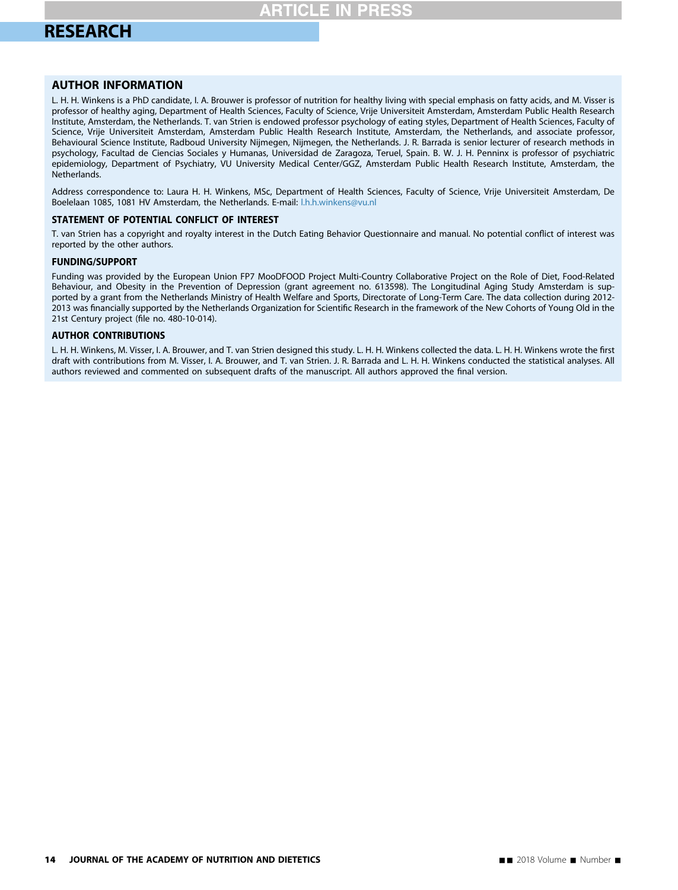## **RESEARCH** <u>research</u>

### **AUTHOR INFORMATION**

. L. H. H. Winkens is a PhD candidate, I. A. Brouwer is professor of nutrition for healthy living with special emphasis on fatty acids, and M. Visser is<br>L. H. H. Winkens is a PhD candidate, I. A. Brouwer is professor of nu professor of healthy aging, Department of Health Sciences, Faculty of Science, Vrije Universiteit Amsterdam, Amsterdam Public Health Research Institute, Amsterdam, the Netherlands. T. van Strien is endowed professor psychology of eating styles, Department of Health Sciences, Faculty of Science, Vrije Universiteit Amsterdam, Amsterdam Public Health Research Institute, Amsterdam, the Netherlands, and associate professor, Behavioural Science Institute, Radboud University Nijmegen, Nijmegen, the Netherlands. J. R. Barrada is senior lecturer of research methods in psychology, Facultad de Ciencias Sociales y Humanas, Universidad de Zaragoza, Teruel, Spain. B. W. J. H. Penninx is professor of psychiatric epidemiology, Department of Psychiatry, VU University Medical Center/GGZ, Amsterdam Public Health Research Institute, Amsterdam, the Netherlands.

Address correspondence to: Laura H. H. Winkens, MSc, Department of Health Sciences, Faculty of Science, Vrije Universiteit Amsterdam, De Boelelaan 1085, 1081 HV Amsterdam, the Netherlands. E-mail: [l.h.h.winkens@vu.nl](mailto:l.h.h.winkens@vu.nl)

#### STATEMENT OF POTENTIAL CONFLICT OF INTEREST

T. van Strien has a copyright and royalty interest in the Dutch Eating Behavior Questionnaire and manual. No potential conflict of interest was reported by the other authors.

#### FUNDING/SUPPORT

Funding was provided by the European Union FP7 MooDFOOD Project Multi-Country Collaborative Project on the Role of Diet, Food-Related Behaviour, and Obesity in the Prevention of Depression (grant agreement no. 613598). The Longitudinal Aging Study Amsterdam is supported by a grant from the Netherlands Ministry of Health Welfare and Sports, Directorate of Long-Term Care. The data collection during 2012- 2013 was financially supported by the Netherlands Organization for Scientific Research in the framework of the New Cohorts of Young Old in the 21st Century project (file no. 480-10-014).

#### AUTHOR CONTRIBUTIONS

L. H. H. Winkens, M. Visser, I. A. Brouwer, and T. van Strien designed this study. L. H. H. Winkens collected the data. L. H. H. Winkens wrote the first draft with contributions from M. Visser, I. A. Brouwer, and T. van Strien. J. R. Barrada and L. H. H. Winkens conducted the statistical analyses. All authors reviewed and commented on subsequent drafts of the manuscript. All authors approved the final version.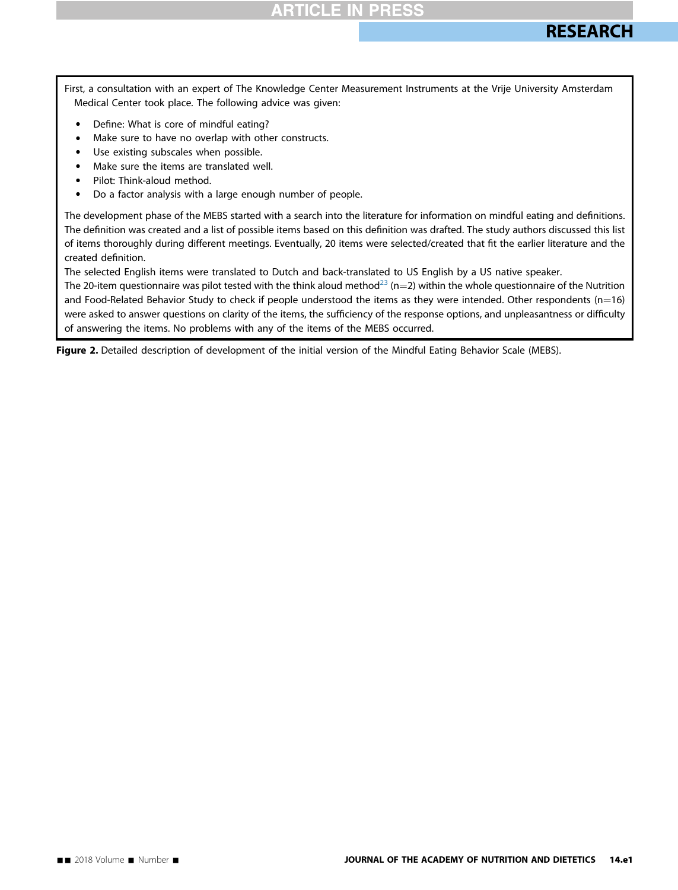## **RESEARCH** <u>research</u>

<span id="page-14-0"></span>First, a consultation with an expert of The Knowledge Center Measurement Instruments at the Vrije University Amsterdam Medical Center took place. The following advice was given:

- Define: What is core of mindful eating?
- Make sure to have no overlap with other constructs.
- Use existing subscales when possible.
- Make sure the items are translated well.
- Pilot: Think-aloud method.
- Do a factor analysis with a large enough number of people.

The development phase of the MEBS started with a search into the literature for information on mindful eating and definitions. The definition was created and a list of possible items based on this definition was drafted. The study authors discussed this list of items thoroughly during different meetings. Eventually, 20 items were selected/created that fit the earlier literature and the created definition.

The selected English items were translated to Dutch and back-translated to US English by a US native speaker.

The 20-item questionnaire was pilot tested with the think aloud method<sup>[23](#page-12-0)</sup> (n=2) within the whole questionnaire of the Nutrition and Food-Related Behavior Study to check if people understood the items as they were intended. Other respondents ( $n=16$ ) were asked to answer questions on clarity of the items, the sufficiency of the response options, and unpleasantness or difficulty of answering the items. No problems with any of the items of the MEBS occurred.

Figure 2. Detailed description of development of the initial version of the Mindful Eating Behavior Scale (MEBS).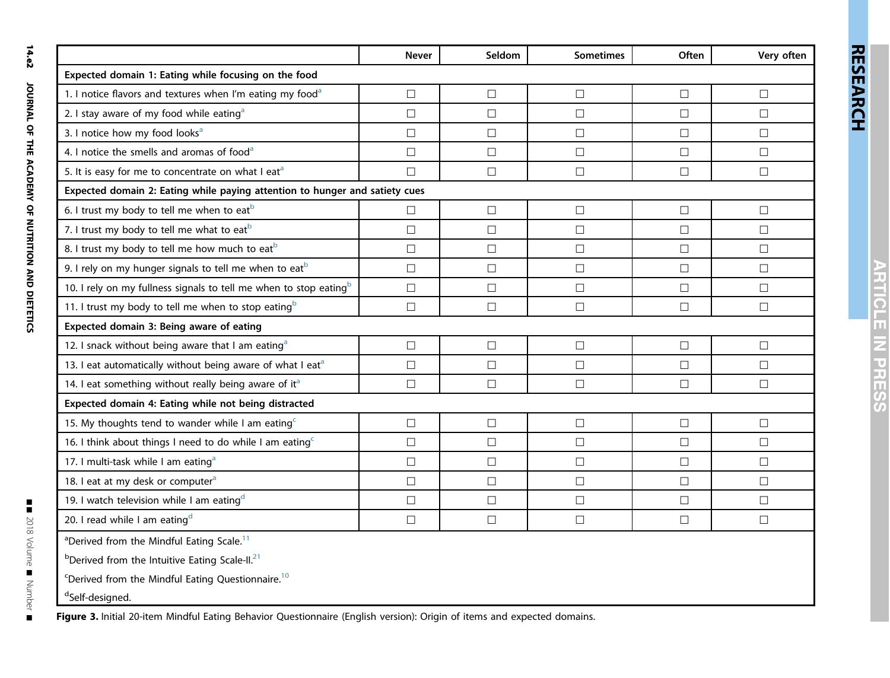<span id="page-15-0"></span>

|                                                                               | <b>Never</b> | Seldom | <b>Sometimes</b> | Often  | Very often |  |  |  |
|-------------------------------------------------------------------------------|--------------|--------|------------------|--------|------------|--|--|--|
| Expected domain 1: Eating while focusing on the food                          |              |        |                  |        |            |  |  |  |
| 1. I notice flavors and textures when I'm eating my food <sup>a</sup>         | $\Box$       | $\Box$ | $\Box$           | П      | $\Box$     |  |  |  |
| 2. I stay aware of my food while eating <sup>a</sup>                          | $\Box$       | $\Box$ | $\Box$           | $\Box$ | $\Box$     |  |  |  |
| 3. I notice how my food looks <sup>a</sup>                                    | $\Box$       | $\Box$ | $\Box$           | $\Box$ | $\Box$     |  |  |  |
| 4. I notice the smells and aromas of food <sup>a</sup>                        | $\Box$       | $\Box$ | $\Box$           | $\Box$ | $\Box$     |  |  |  |
| 5. It is easy for me to concentrate on what I eat <sup>a</sup>                | П            | $\Box$ | $\Box$           | $\Box$ | $\Box$     |  |  |  |
| Expected domain 2: Eating while paying attention to hunger and satiety cues   |              |        |                  |        |            |  |  |  |
| 6. I trust my body to tell me when to eat <sup>b</sup>                        | $\Box$       | $\Box$ | $\Box$           | $\Box$ | $\Box$     |  |  |  |
| 7. I trust my body to tell me what to eat <sup>b</sup>                        | $\Box$       | $\Box$ | $\Box$           | $\Box$ | $\Box$     |  |  |  |
| 8. I trust my body to tell me how much to eat <sup>b</sup>                    | $\Box$       | $\Box$ | $\Box$           | $\Box$ | $\Box$     |  |  |  |
| 9. I rely on my hunger signals to tell me when to eat <sup>b</sup>            | $\Box$       | $\Box$ | $\Box$           | $\Box$ | $\Box$     |  |  |  |
| 10. I rely on my fullness signals to tell me when to stop eating <sup>b</sup> | $\Box$       | $\Box$ | $\Box$           | П      | $\Box$     |  |  |  |
| 11. I trust my body to tell me when to stop eating <sup>b</sup>               | $\Box$       | $\Box$ | $\Box$           | $\Box$ | $\Box$     |  |  |  |
| Expected domain 3: Being aware of eating                                      |              |        |                  |        |            |  |  |  |
| 12. I snack without being aware that I am eating <sup>a</sup>                 | $\Box$       | $\Box$ | $\Box$           | $\Box$ | $\Box$     |  |  |  |
| 13. I eat automatically without being aware of what I eat <sup>a</sup>        | $\Box$       | $\Box$ | $\Box$           | $\Box$ | $\Box$     |  |  |  |
| 14. I eat something without really being aware of it <sup>a</sup>             | $\Box$       | $\Box$ | $\Box$           | $\Box$ | $\Box$     |  |  |  |
| Expected domain 4: Eating while not being distracted                          |              |        |                  |        |            |  |  |  |
| 15. My thoughts tend to wander while I am eating $c$                          | $\Box$       | $\Box$ | $\Box$           | $\Box$ | $\Box$     |  |  |  |
| 16. I think about things I need to do while I am eating <sup>c</sup>          | $\Box$       | $\Box$ | $\Box$           | $\Box$ | $\Box$     |  |  |  |
| 17. I multi-task while I am eating <sup>a</sup>                               | $\Box$       | $\Box$ | $\Box$           | $\Box$ | $\Box$     |  |  |  |
| 18. I eat at my desk or computer <sup>a</sup>                                 | $\Box$       | $\Box$ | $\Box$           | $\Box$ | $\Box$     |  |  |  |
| 19. I watch television while I am eating <sup>d</sup>                         | $\Box$       | $\Box$ | $\Box$           | $\Box$ | $\Box$     |  |  |  |
| 20. I read while I am eating <sup>d</sup>                                     | $\Box$       | $\Box$ | $\Box$           | $\Box$ | $\Box$     |  |  |  |
| <sup>a</sup> Derived from the Mindful Eating Scale. <sup>11</sup>             |              |        |                  |        |            |  |  |  |
| <sup>b</sup> Derived from the Intuitive Eating Scale-II. <sup>21</sup>        |              |        |                  |        |            |  |  |  |
| $c^{\text{c}}$ Derived from the Mindful Eating Questionnaire. <sup>10</sup>   |              |        |                  |        |            |  |  |  |
| <sup>d</sup> Self-designed.                                                   |              |        |                  |        |            |  |  |  |

-

Figure 3. Initial 20-item Mindful Eating Behavior Questionnaire (English version): Origin of items and expected domains.

RESEARCH

**ARTICLE IN PRES** ีดี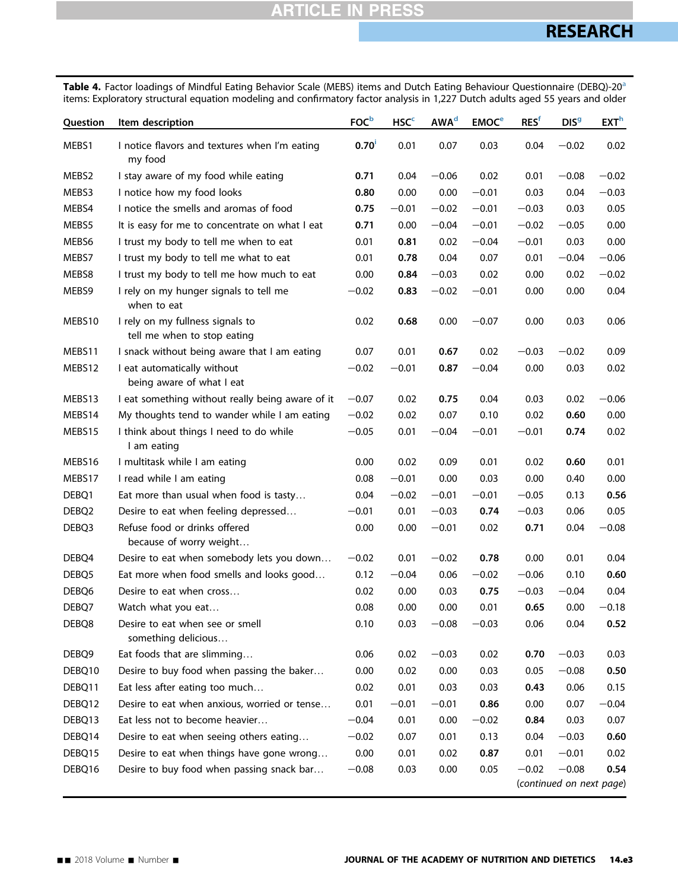<span id="page-16-0"></span>T[a](#page-17-0)ble 4. Factor loadings of Mindful Eating Behavior Scale (MEBS) items and Dutch Eating Behaviour Questionnaire (DEBQ)-20<sup>a</sup> items: Exploratory structural equation modeling and confirmatory factor analysis in 1,227 Dutch adults aged 55 years and older

| Question          | Item description                                                | EOC <sup>b</sup>  | <b>HSC<sup>c</sup></b> | <b>AWA<sup>d</sup></b> | <b>EMOC<sup>e</sup></b> | <b>RES<sup>f</sup></b> | DIS <sup>9</sup>                    | EXT <sup>h</sup> |
|-------------------|-----------------------------------------------------------------|-------------------|------------------------|------------------------|-------------------------|------------------------|-------------------------------------|------------------|
| MEBS1             | I notice flavors and textures when I'm eating<br>my food        | 0.70 <sup>i</sup> | 0.01                   | 0.07                   | 0.03                    | 0.04                   | $-0.02$                             | 0.02             |
| MEBS2             | I stay aware of my food while eating                            | 0.71              | 0.04                   | $-0.06$                | 0.02                    | 0.01                   | $-0.08$                             | $-0.02$          |
| MEBS3             | I notice how my food looks                                      | 0.80              | 0.00                   | 0.00                   | $-0.01$                 | 0.03                   | 0.04                                | $-0.03$          |
| MEBS4             | I notice the smells and aromas of food                          | 0.75              | $-0.01$                | $-0.02$                | $-0.01$                 | $-0.03$                | 0.03                                | 0.05             |
| MEBS5             | It is easy for me to concentrate on what I eat                  | 0.71              | 0.00                   | $-0.04$                | $-0.01$                 | $-0.02$                | $-0.05$                             | 0.00             |
| MEBS6             | I trust my body to tell me when to eat                          | 0.01              | 0.81                   | 0.02                   | $-0.04$                 | $-0.01$                | 0.03                                | 0.00             |
| MEBS7             | I trust my body to tell me what to eat                          | 0.01              | 0.78                   | 0.04                   | 0.07                    | 0.01                   | $-0.04$                             | $-0.06$          |
| MEBS8             | I trust my body to tell me how much to eat                      | 0.00              | 0.84                   | $-0.03$                | 0.02                    | 0.00                   | 0.02                                | $-0.02$          |
| MEBS9             | I rely on my hunger signals to tell me<br>when to eat           | $-0.02$           | 0.83                   | $-0.02$                | $-0.01$                 | 0.00                   | 0.00                                | 0.04             |
| MEBS10            | I rely on my fullness signals to<br>tell me when to stop eating | 0.02              | 0.68                   | 0.00                   | $-0.07$                 | 0.00                   | 0.03                                | 0.06             |
| MEBS11            | I snack without being aware that I am eating                    | 0.07              | 0.01                   | 0.67                   | 0.02                    | $-0.03$                | $-0.02$                             | 0.09             |
| MEBS12            | I eat automatically without<br>being aware of what I eat        | $-0.02$           | $-0.01$                | 0.87                   | $-0.04$                 | 0.00                   | 0.03                                | 0.02             |
| MEBS13            | I eat something without really being aware of it                | $-0.07$           | 0.02                   | 0.75                   | 0.04                    | 0.03                   | 0.02                                | $-0.06$          |
| MEBS14            | My thoughts tend to wander while I am eating                    | $-0.02$           | 0.02                   | 0.07                   | 0.10                    | 0.02                   | 0.60                                | 0.00             |
| MEBS15            | I think about things I need to do while<br>I am eating          | $-0.05$           | 0.01                   | $-0.04$                | $-0.01$                 | $-0.01$                | 0.74                                | 0.02             |
| MEBS16            | I multitask while I am eating                                   | 0.00              | 0.02                   | 0.09                   | 0.01                    | 0.02                   | 0.60                                | 0.01             |
| MEBS17            | I read while I am eating                                        | 0.08              | $-0.01$                | 0.00                   | 0.03                    | 0.00                   | 0.40                                | 0.00             |
| DEBQ1             | Eat more than usual when food is tasty                          | 0.04              | $-0.02$                | $-0.01$                | $-0.01$                 | $-0.05$                | 0.13                                | 0.56             |
| DEBQ <sub>2</sub> | Desire to eat when feeling depressed                            | $-0.01$           | 0.01                   | $-0.03$                | 0.74                    | $-0.03$                | 0.06                                | 0.05             |
| DEBQ3             | Refuse food or drinks offered<br>because of worry weight        | 0.00              | 0.00                   | $-0.01$                | 0.02                    | 0.71                   | 0.04                                | $-0.08$          |
| DEBQ4             | Desire to eat when somebody lets you down                       | $-0.02$           | 0.01                   | $-0.02$                | 0.78                    | 0.00                   | 0.01                                | 0.04             |
| DEBQ5             | Eat more when food smells and looks good                        | 0.12              | $-0.04$                | 0.06                   | $-0.02$                 | $-0.06$                | 0.10                                | 0.60             |
| DEBQ6             | Desire to eat when cross                                        | 0.02              | 0.00                   | 0.03                   | 0.75                    | $-0.03$                | $-0.04$                             | 0.04             |
| DEBQ7             | Watch what you eat                                              | 0.08              | 0.00                   | 0.00                   | 0.01                    | 0.65                   | 0.00                                | $-0.18$          |
| DEBQ8             | Desire to eat when see or smell<br>something delicious.         | 0.10              | 0.03                   | $-0.08$                | $-0.03$                 | 0.06                   | 0.04                                | 0.52             |
| DEBQ9             | Eat foods that are slimming                                     | 0.06              | 0.02                   | $-0.03$                | 0.02                    | 0.70                   | $-0.03$                             | 0.03             |
| DEBQ10            | Desire to buy food when passing the baker                       | 0.00              | 0.02                   | 0.00                   | 0.03                    | 0.05                   | $-0.08$                             | 0.50             |
| DEBQ11            | Eat less after eating too much                                  | 0.02              | 0.01                   | 0.03                   | 0.03                    | 0.43                   | 0.06                                | 0.15             |
| DEBQ12            | Desire to eat when anxious, worried or tense                    | 0.01              | $-0.01$                | $-0.01$                | 0.86                    | 0.00                   | 0.07                                | $-0.04$          |
| DEBQ13            | Eat less not to become heavier                                  | $-0.04$           | 0.01                   | 0.00                   | $-0.02$                 | 0.84                   | 0.03                                | 0.07             |
| DEBQ14            | Desire to eat when seeing others eating                         | $-0.02$           | 0.07                   | 0.01                   | 0.13                    | 0.04                   | $-0.03$                             | 0.60             |
| DEBQ15            | Desire to eat when things have gone wrong                       | 0.00              | 0.01                   | 0.02                   | 0.87                    | 0.01                   | $-0.01$                             | 0.02             |
| DEBQ16            | Desire to buy food when passing snack bar                       | $-0.08$           | 0.03                   | 0.00                   | 0.05                    | $-0.02$                | $-0.08$<br>(continued on next page) | 0.54             |